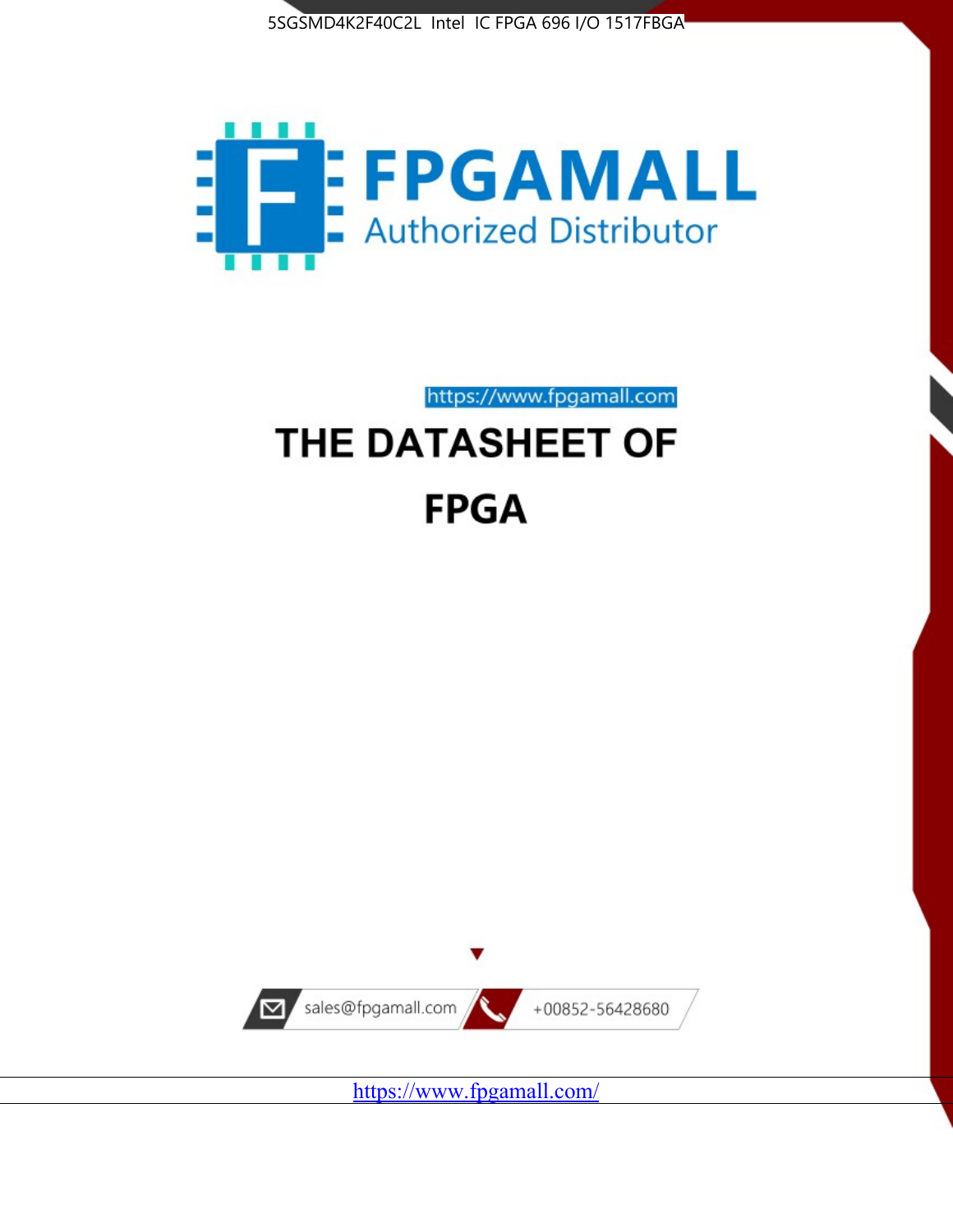



https://www.fpgamall.com

# THE DATASHEET OF **FPGA**



<https://www.fpgamall.com/>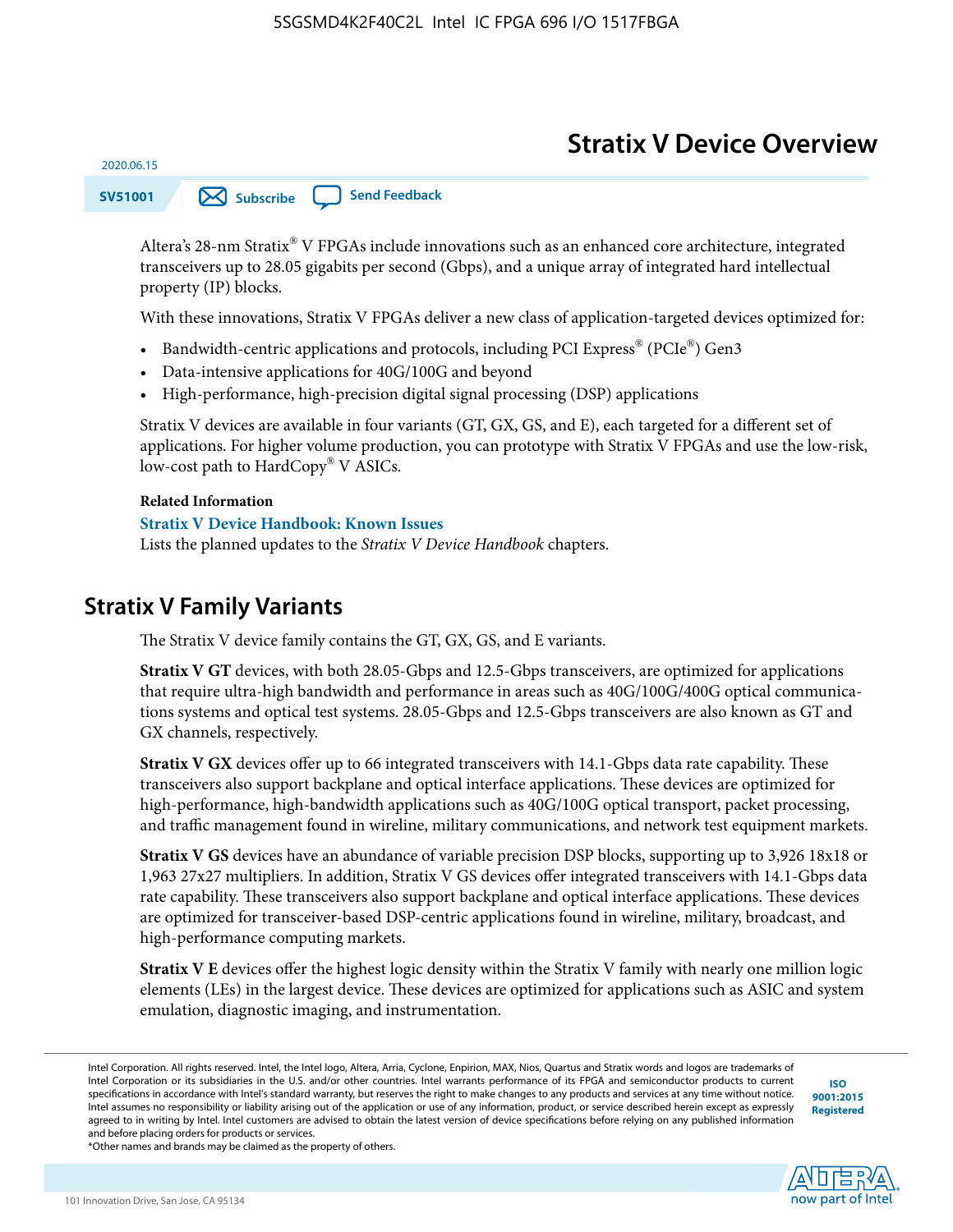# **Stratix V Device Overview**

**SV51001 [Subscribe](https://www.altera.com/servlets/subscriptions/alert?id=SV51001) [Send Feedback](mailto:FPGAtechdocfeedback@intel.com?subject=Feedback%20on%20(SV51001%202020.06.15)%20Stratix%20V%20Device%20Overview&body=We%20appreciate%20your%20feedback.%20In%20your%20comments,%20also%20specify%20the%20page%20number%20or%20paragraph.%20Thank%20you.)** 

Altera's 28-nm Stratix® V FPGAs include innovations such as an enhanced core architecture, integrated transceivers up to 28.05 gigabits per second (Gbps), and a unique array of integrated hard intellectual property (IP) blocks.

With these innovations, Stratix V FPGAs deliver a new class of application-targeted devices optimized for:

- Bandwidth-centric applications and protocols, including PCI Express® (PCIe®) Gen3
- Data-intensive applications for 40G/100G and beyond
- High-performance, high-precision digital signal processing (DSP) applications

Stratix V devices are available in four variants (GT, GX, GS, and E), each targeted for a different set of applications. For higher volume production, you can prototype with Stratix V FPGAs and use the low-risk, low-cost path to HardCopy® V ASICs.

#### **Related Information**

2020.06.15

#### **[Stratix V Device Handbook: Known Issues](http://www.altera.com/support/kdb/solutions/rd08242010_83.html)**

Lists the planned updates to the *Stratix V Device Handbook* chapters.

### **Stratix V Family Variants**

The Stratix V device family contains the GT, GX, GS, and E variants.

**Stratix V GT** devices, with both 28.05-Gbps and 12.5-Gbps transceivers, are optimized for applications that require ultra-high bandwidth and performance in areas such as 40G/100G/400G optical communica‐ tions systems and optical test systems. 28.05-Gbps and 12.5-Gbps transceivers are also known as GT and GX channels, respectively.

**Stratix V GX** devices offer up to 66 integrated transceivers with 14.1-Gbps data rate capability. These transceivers also support backplane and optical interface applications. These devices are optimized for high-performance, high-bandwidth applications such as 40G/100G optical transport, packet processing, and traffic management found in wireline, military communications, and network test equipment markets.

**Stratix V GS** devices have an abundance of variable precision DSP blocks, supporting up to 3,926 18x18 or 1,963 27x27 multipliers. In addition, Stratix V GS devices offer integrated transceivers with 14.1-Gbps data rate capability. These transceivers also support backplane and optical interface applications. These devices are optimized for transceiver-based DSP-centric applications found in wireline, military, broadcast, and high-performance computing markets.

**Stratix V E** devices offer the highest logic density within the Stratix V family with nearly one million logic elements (LEs) in the largest device. These devices are optimized for applications such as ASIC and system emulation, diagnostic imaging, and instrumentation.

**[ISO](http://www.altera.com/support/devices/reliability/certifications/rel-certifications.html) [9001:2015](http://www.altera.com/support/devices/reliability/certifications/rel-certifications.html) [Registered](http://www.altera.com/support/devices/reliability/certifications/rel-certifications.html)**

**low part of Intel** 

\*Other names and brands may be claimed as the property of others.

Intel Corporation. All rights reserved. Intel, the Intel logo, Altera, Arria, Cyclone, Enpirion, MAX, Nios, Quartus and Stratix words and logos are trademarks of Intel Corporation or its subsidiaries in the U.S. and/or other countries. Intel warrants performance of its FPGA and semiconductor products to current specifications in accordance with Intel's standard warranty, but reserves the right to make changes to any products and services at any time without notice. Intel assumes no responsibility or liability arising out of the application or use of any information, product, or service described herein except as expressly agreed to in writing by Intel. Intel customers are advised to obtain the latest version of device specifications before relying on any published information and before placing orders for products or services.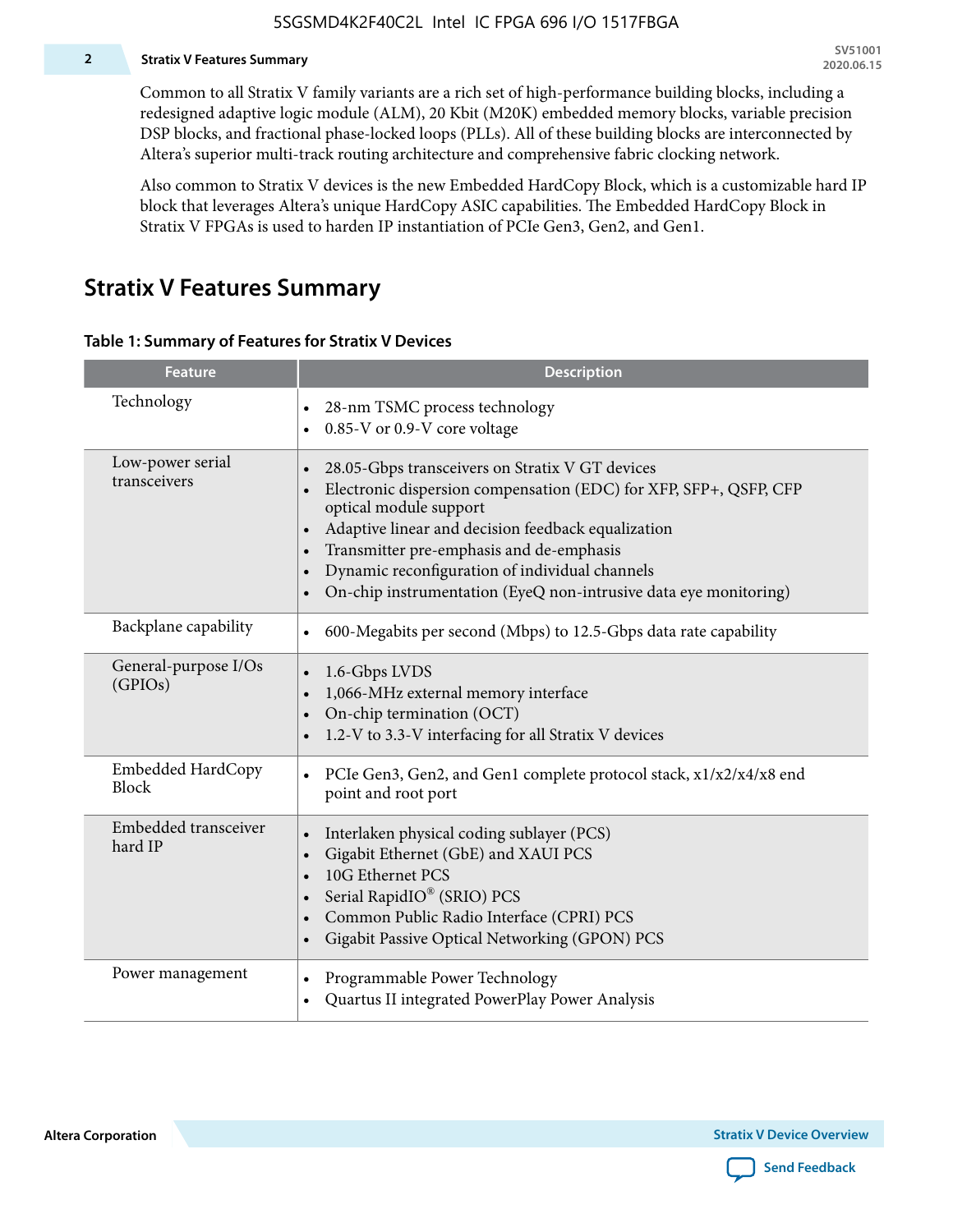#### **2 Stratix V Features Summary**

Common to all Stratix V family variants are a rich set of high-performance building blocks, including a redesigned adaptive logic module (ALM), 20 Kbit (M20K) embedded memory blocks, variable precision DSP blocks, and fractional phase-locked loops (PLLs). All of these building blocks are interconnected by Altera's superior multi-track routing architecture and comprehensive fabric clocking network.

Also common to Stratix V devices is the new Embedded HardCopy Block, which is a customizable hard IP block that leverages Altera's unique HardCopy ASIC capabilities. The Embedded HardCopy Block in Stratix V FPGAs is used to harden IP instantiation of PCIe Gen3, Gen2, and Gen1.

### **Stratix V Features Summary**

#### **Table 1: Summary of Features for Stratix V Devices**

| <b>Feature</b>                    | <b>Description</b>                                                                                                                                                                                                                                                                                                                                                                                                         |
|-----------------------------------|----------------------------------------------------------------------------------------------------------------------------------------------------------------------------------------------------------------------------------------------------------------------------------------------------------------------------------------------------------------------------------------------------------------------------|
| Technology                        | 28-nm TSMC process technology<br>0.85-V or 0.9-V core voltage<br>$\bullet$                                                                                                                                                                                                                                                                                                                                                 |
| Low-power serial<br>transceivers  | 28.05-Gbps transceivers on Stratix V GT devices<br>$\bullet$<br>Electronic dispersion compensation (EDC) for XFP, SFP+, QSFP, CFP<br>optical module support<br>Adaptive linear and decision feedback equalization<br>$\bullet$<br>Transmitter pre-emphasis and de-emphasis<br>Dynamic reconfiguration of individual channels<br>$\bullet$<br>On-chip instrumentation (EyeQ non-intrusive data eye monitoring)<br>$\bullet$ |
| Backplane capability              | 600-Megabits per second (Mbps) to 12.5-Gbps data rate capability<br>$\bullet$                                                                                                                                                                                                                                                                                                                                              |
| General-purpose I/Os<br>(GPIOs)   | 1.6-Gbps LVDS<br>1,066-MHz external memory interface<br>$\bullet$<br>On-chip termination (OCT)<br>$\bullet$<br>1.2-V to 3.3-V interfacing for all Stratix V devices                                                                                                                                                                                                                                                        |
| Embedded HardCopy<br><b>Block</b> | PCIe Gen3, Gen2, and Gen1 complete protocol stack, x1/x2/x4/x8 end<br>$\bullet$<br>point and root port                                                                                                                                                                                                                                                                                                                     |
| Embedded transceiver<br>hard IP   | Interlaken physical coding sublayer (PCS)<br>$\bullet$<br>Gigabit Ethernet (GbE) and XAUI PCS<br>$\bullet$<br>10G Ethernet PCS<br>Serial RapidIO® (SRIO) PCS<br>$\bullet$<br>Common Public Radio Interface (CPRI) PCS<br>$\bullet$<br>Gigabit Passive Optical Networking (GPON) PCS<br>$\bullet$                                                                                                                           |
| Power management                  | Programmable Power Technology<br>Quartus II integrated PowerPlay Power Analysis<br>$\bullet$                                                                                                                                                                                                                                                                                                                               |

**Altera Corporation** 

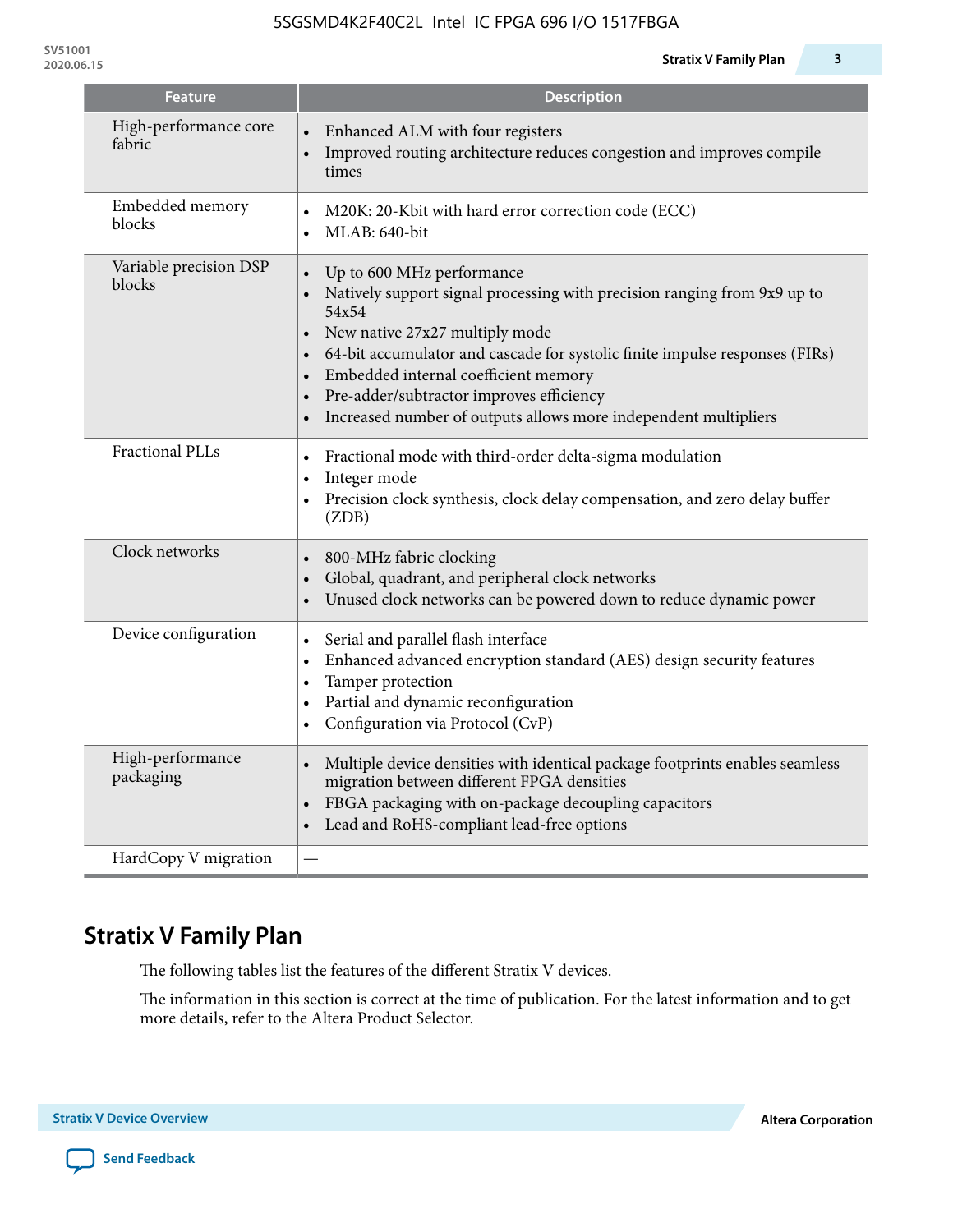| <b>Feature</b>                   | <b>Description</b>                                                                                                                                                                                                                                                                                                                                                                     |
|----------------------------------|----------------------------------------------------------------------------------------------------------------------------------------------------------------------------------------------------------------------------------------------------------------------------------------------------------------------------------------------------------------------------------------|
| High-performance core<br>fabric  | Enhanced ALM with four registers<br>Improved routing architecture reduces congestion and improves compile<br>times                                                                                                                                                                                                                                                                     |
| Embedded memory<br>blocks        | M20K: 20-Kbit with hard error correction code (ECC)<br>$\bullet$<br>MLAB: 640-bit<br>$\bullet$                                                                                                                                                                                                                                                                                         |
| Variable precision DSP<br>blocks | Up to 600 MHz performance<br>Natively support signal processing with precision ranging from 9x9 up to<br>54x54<br>New native 27x27 multiply mode<br>64-bit accumulator and cascade for systolic finite impulse responses (FIRs)<br>Embedded internal coefficient memory<br>Pre-adder/subtractor improves efficiency<br>Increased number of outputs allows more independent multipliers |
| Fractional PLLs                  | Fractional mode with third-order delta-sigma modulation<br>$\bullet$<br>Integer mode<br>$\bullet$<br>Precision clock synthesis, clock delay compensation, and zero delay buffer<br>$\bullet$<br>(ZDB)                                                                                                                                                                                  |
| Clock networks                   | 800-MHz fabric clocking<br>$\bullet$<br>Global, quadrant, and peripheral clock networks<br>Unused clock networks can be powered down to reduce dynamic power                                                                                                                                                                                                                           |
| Device configuration             | Serial and parallel flash interface<br>$\bullet$<br>Enhanced advanced encryption standard (AES) design security features<br>Tamper protection<br>Partial and dynamic reconfiguration<br>Configuration via Protocol (CvP)                                                                                                                                                               |
| High-performance<br>packaging    | Multiple device densities with identical package footprints enables seamless<br>$\bullet$<br>migration between different FPGA densities<br>FBGA packaging with on-package decoupling capacitors<br>Lead and RoHS-compliant lead-free options                                                                                                                                           |
| HardCopy V migration             |                                                                                                                                                                                                                                                                                                                                                                                        |

# **Stratix V Family Plan**

The following tables list the features of the different Stratix V devices.

The information in this section is correct at the time of publication. For the latest information and to get more details, refer to the Altera Product Selector.



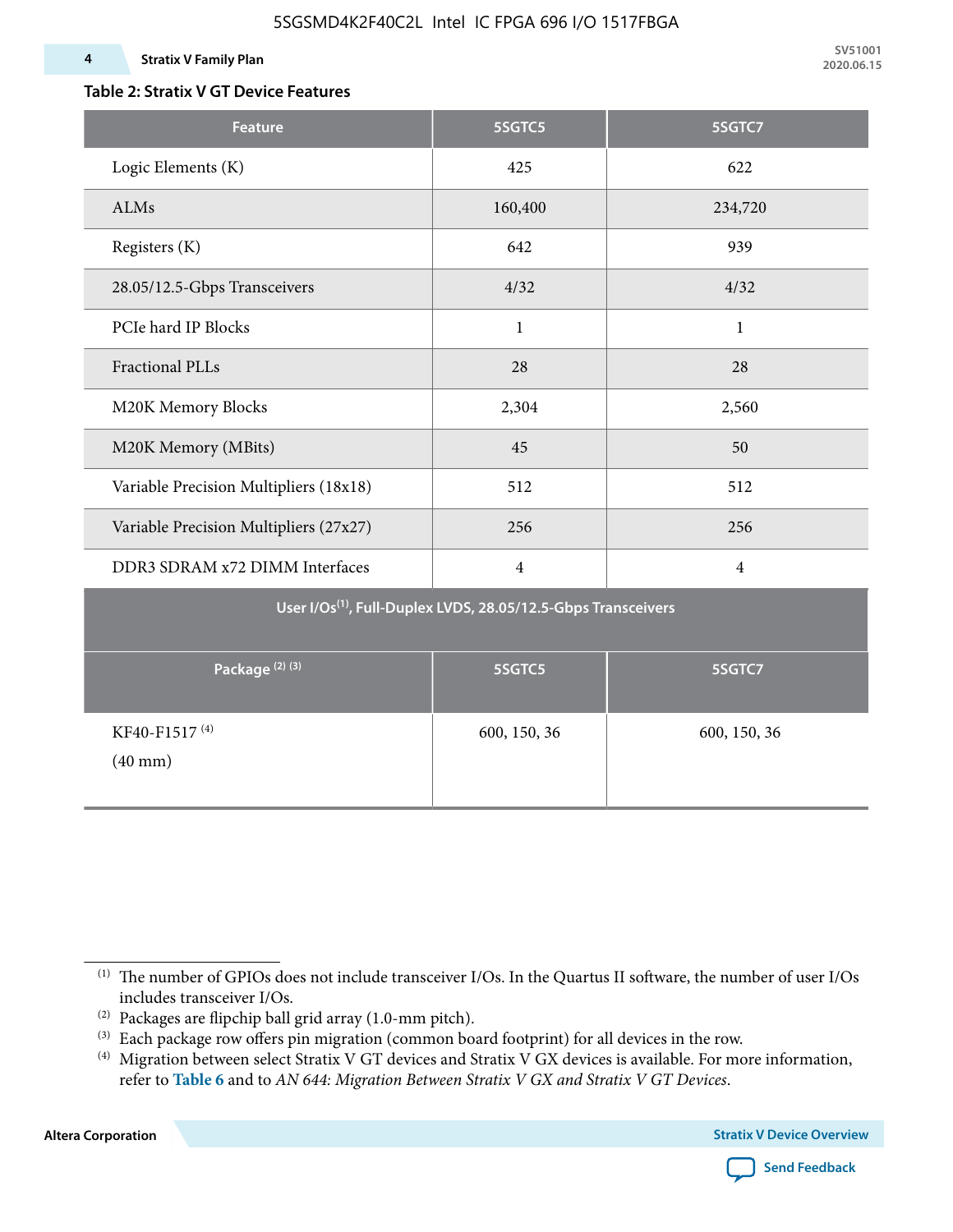### **4 Stratix V Family Plan**

### **Table 2: Stratix V GT Device Features**

| <b>Feature</b>                                 | 5SGTC5                                                                    | 5SGTC7         |
|------------------------------------------------|---------------------------------------------------------------------------|----------------|
| Logic Elements (K)                             | 425                                                                       | 622            |
| ALMs                                           | 160,400                                                                   | 234,720        |
| Registers (K)                                  | 642                                                                       | 939            |
| 28.05/12.5-Gbps Transceivers                   | 4/32                                                                      | 4/32           |
| PCIe hard IP Blocks                            | $\mathbf{1}$                                                              | $\mathbf{1}$   |
| <b>Fractional PLLs</b>                         | 28                                                                        | 28             |
| M20K Memory Blocks                             | 2,304                                                                     | 2,560          |
| M20K Memory (MBits)                            | 45                                                                        | 50             |
| Variable Precision Multipliers (18x18)         | 512                                                                       | 512            |
| Variable Precision Multipliers (27x27)         | 256                                                                       | 256            |
| DDR3 SDRAM x72 DIMM Interfaces                 | $\overline{4}$                                                            | $\overline{4}$ |
|                                                | User I/Os <sup>(1)</sup> , Full-Duplex LVDS, 28.05/12.5-Gbps Transceivers |                |
| Package <sup>(2)</sup> <sup>(3)</sup>          | 5SGTC5                                                                    | 5SGTC7         |
| KF40-F1517 <sup>(4)</sup><br>$(40 \text{ mm})$ | 600, 150, 36                                                              | 600, 150, 36   |

**Altera Corporation** 



<sup>(1)</sup> The number of GPIOs does not include transceiver I/Os. In the Quartus II software, the number of user I/Os includes transceiver I/Os.

 $^{(2)}$  Packages are flipchip ball grid array (1.0-mm pitch).

<sup>(3)</sup> Each package row offers pin migration (common board footprint) for all devices in the row.

<sup>(4)</sup> Migration between select Stratix V GT devices and Stratix V GX devices is available. For more information, refer to **Table 6** and to *AN 644: Migration Between Stratix V GX and Stratix V GT Devices*.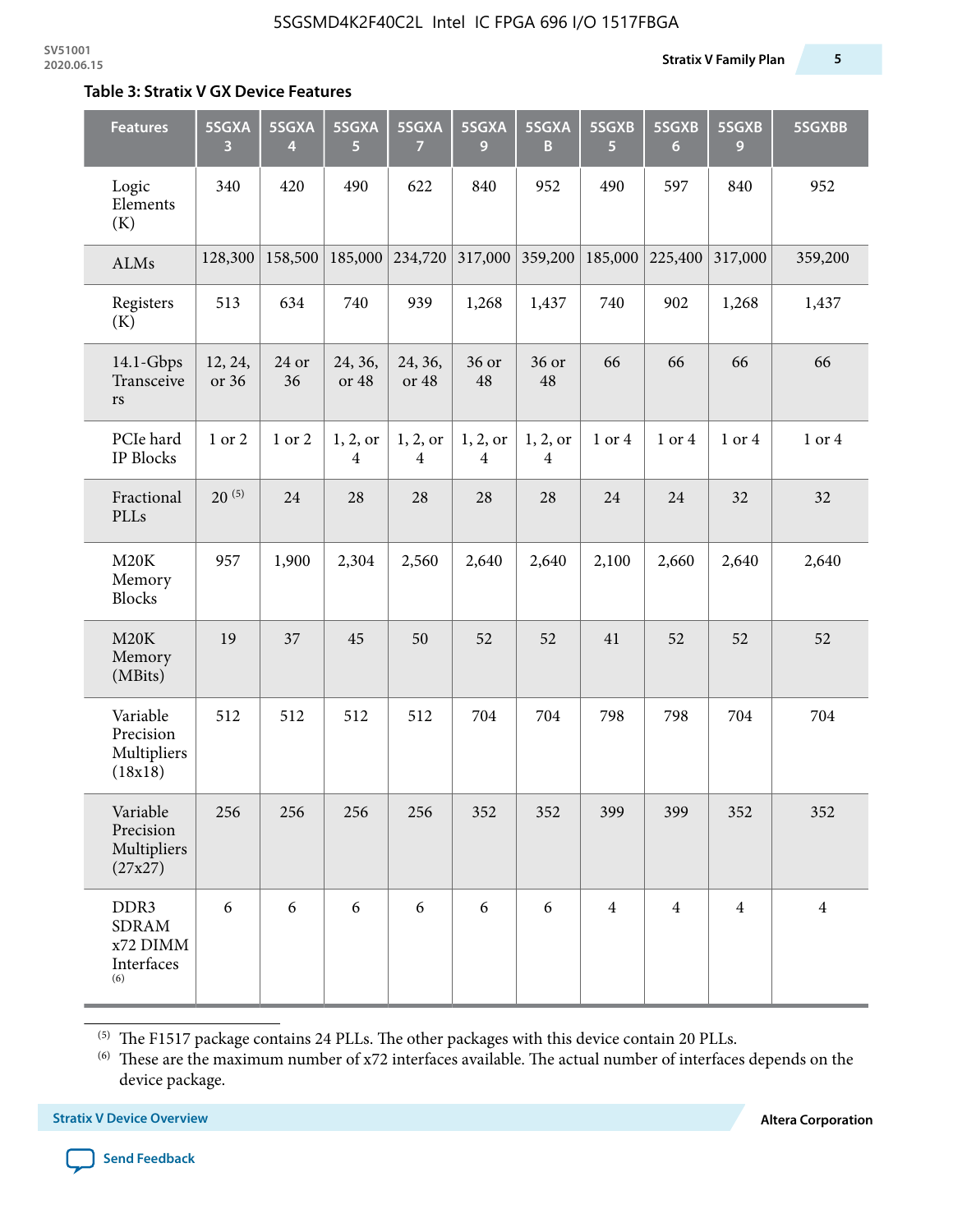#### **Table 3: Stratix V GX Device Features**

| <b>Features</b>                                       | 5SGXA<br>3       | 5SGXA<br>4  | 5SGXA<br>5.      | 5SGXA<br>7                 | 5SGXA<br>9    | 5SGXA<br>B                          | 5SGXB<br>$\overline{5}$ | 5SGXB<br>6     | 5SGXB<br>9     | 5SGXBB         |
|-------------------------------------------------------|------------------|-------------|------------------|----------------------------|---------------|-------------------------------------|-------------------------|----------------|----------------|----------------|
| Logic<br>Elements<br>(K)                              | 340              | 420         | 490              | 622                        | 840           | 952                                 | 490                     | 597            | 840            | 952            |
| ALMs                                                  | 128,300          | 158,500     | 185,000          | 234,720                    | 317,000       | 359,200                             | 185,000                 | 225,400        | 317,000        | 359,200        |
| Registers<br>(K)                                      | 513              | 634         | 740              | 939                        | 1,268         | 1,437                               | 740                     | 902            | 1,268          | 1,437          |
| $14.1$ -Gbps<br>Transceive<br>$\mathbf{r}\mathbf{s}$  | 12, 24,<br>or 36 | 24 or<br>36 | 24, 36,<br>or 48 | 24, 36,<br>or 48           | 36 or<br>48   | 36 or<br>48                         | 66                      | 66             | 66             | 66             |
| PCIe hard<br>IP Blocks                                | 1 or 2           | 1 or 2      | 1, 2, or<br>4    | 1, 2, or<br>$\overline{4}$ | 1, 2, or<br>4 | 1, 2, or<br>$\overline{\mathbf{4}}$ | 1 or 4                  | 1 or 4         | 1 or 4         | 1 or 4         |
| Fractional<br>PLLs                                    | $20^{(5)}$       | 24          | 28               | 28                         | 28            | 28                                  | 24                      | 24             | 32             | 32             |
| M20K<br>Memory<br><b>Blocks</b>                       | 957              | 1,900       | 2,304            | 2,560                      | 2,640         | 2,640                               | 2,100                   | 2,660          | 2,640          | 2,640          |
| M20K<br>Memory<br>(MBits)                             | 19               | 37          | 45               | 50                         | 52            | 52                                  | 41                      | 52             | 52             | 52             |
| Variable<br>Precision<br>Multipliers<br>(18x18)       | 512              | 512         | 512              | 512                        | 704           | 704                                 | 798                     | 798            | 704            | 704            |
| Variable<br>Precision<br>Multipliers<br>(27x27)       | 256              | 256         | 256              | 256                        | 352           | 352                                 | 399                     | 399            | 352            | 352            |
| DDR3<br><b>SDRAM</b><br>x72 DIMM<br>Interfaces<br>(6) | 6                | 6           | 6                | 6                          | 6             | 6                                   | $\overline{4}$          | $\overline{4}$ | $\overline{4}$ | $\overline{4}$ |

 $^{\left(5\right)}$  The F1517 package contains 24 PLLs. The other packages with this device contain 20 PLLs.

(6) These are the maximum number of x72 interfaces available. The actual number of interfaces depends on the device package.

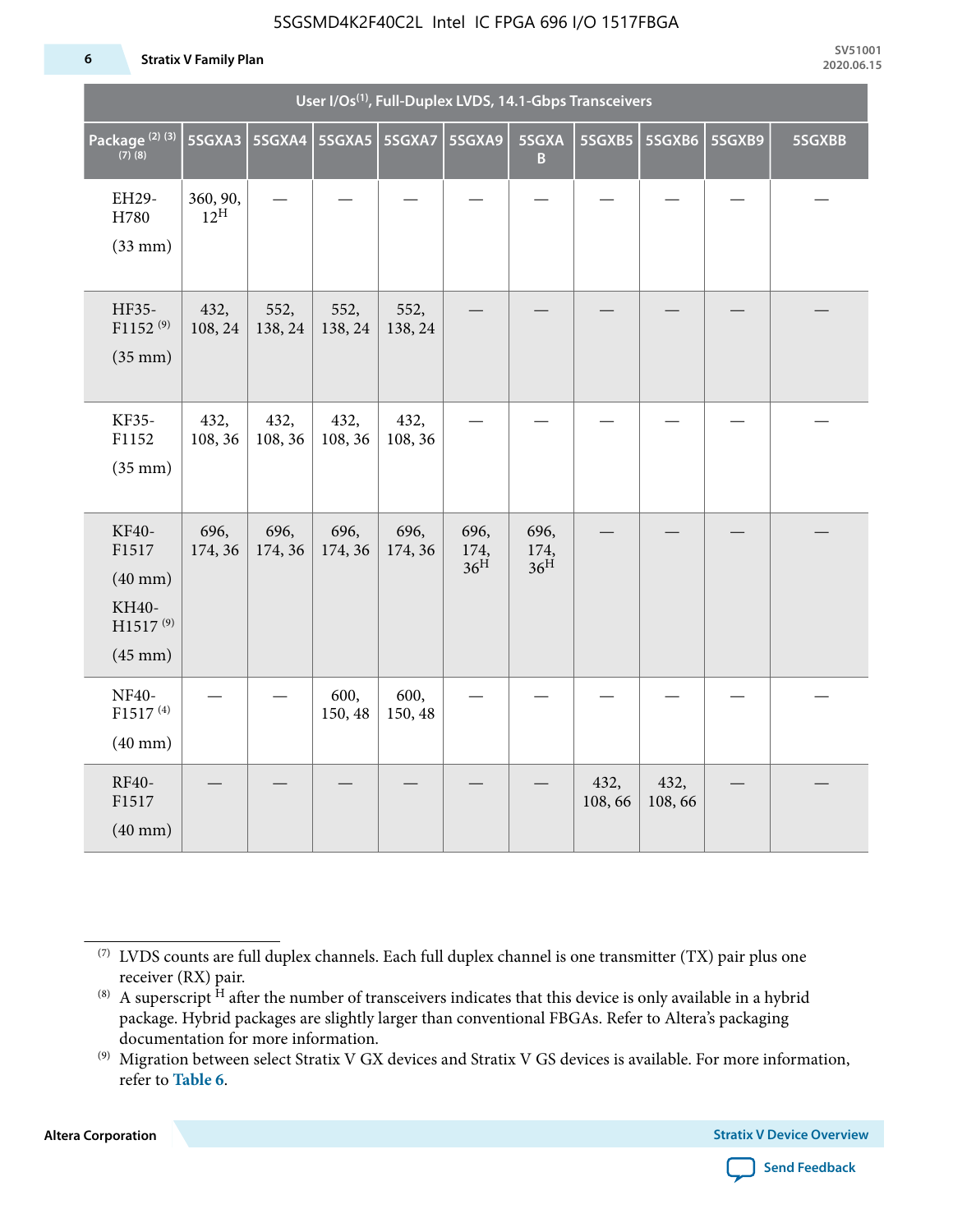#### **6 Stratix V Family Plan**

|                                                                                      |                             |                          |                 |                 | User I/Os <sup>(1)</sup> , Full-Duplex LVDS, 14.1-Gbps Transceivers |                                 |                |                |        |        |
|--------------------------------------------------------------------------------------|-----------------------------|--------------------------|-----------------|-----------------|---------------------------------------------------------------------|---------------------------------|----------------|----------------|--------|--------|
| Package <sup>(2)(3)</sup><br>$(7)$ (8)                                               | 5SGXA3                      | 5SGXA4   5SGXA5   5SGXA7 |                 |                 | <b>5SGXA9</b>                                                       | 5SGXA<br>B                      | 5SGXB5         | 5SGXB6         | 5SGXB9 | 5SGXBB |
| EH29-<br>H780<br>$(33$ mm $)$                                                        | 360, 90,<br>$12^{\text{H}}$ |                          |                 |                 |                                                                     |                                 |                |                |        |        |
| HF35-<br>F1152 <sup>(9)</sup><br>$(35$ mm $)$                                        | 432,<br>108, 24             | 552,<br>138, 24          | 552,<br>138, 24 | 552,<br>138, 24 |                                                                     |                                 |                |                |        |        |
| KF35-<br>F1152<br>$(35$ mm $)$                                                       | 432,<br>108, 36             | 432,<br>108, 36          | 432,<br>108, 36 | 432,<br>108, 36 |                                                                     |                                 |                |                |        |        |
| KF40-<br>F1517<br>$(40$ mm $)$<br>KH40-<br>H1517 <sup>(9)</sup><br>$(45 \text{ mm})$ | 696,<br>174, 36             | 696,<br>174, 36          | 696,<br>174, 36 | 696,<br>174, 36 | 696,<br>174,<br>36 <sup>H</sup>                                     | 696,<br>174,<br>36 <sup>H</sup> |                |                |        |        |
| NF40-<br>F1517 <sup>(4)</sup><br>$(40$ mm $)$                                        |                             |                          | 600,<br>150, 48 | 600,<br>150, 48 |                                                                     |                                 |                |                |        |        |
| RF40-<br>F1517<br>$(40$ mm $)$                                                       |                             |                          |                 |                 |                                                                     |                                 | 432,<br>108,66 | 432,<br>108,66 |        |        |

**Altera Corporation** 



<sup>(7)</sup> LVDS counts are full duplex channels. Each full duplex channel is one transmitter (TX) pair plus one receiver (RX) pair.

<sup>(8)</sup> A superscript  $H$  after the number of transceivers indicates that this device is only available in a hybrid package. Hybrid packages are slightly larger than conventional FBGAs. Refer to Altera's packaging documentation for more information.

<sup>(9)</sup> Migration between select Stratix V GX devices and Stratix V GS devices is available. For more information, refer to **Table 6**.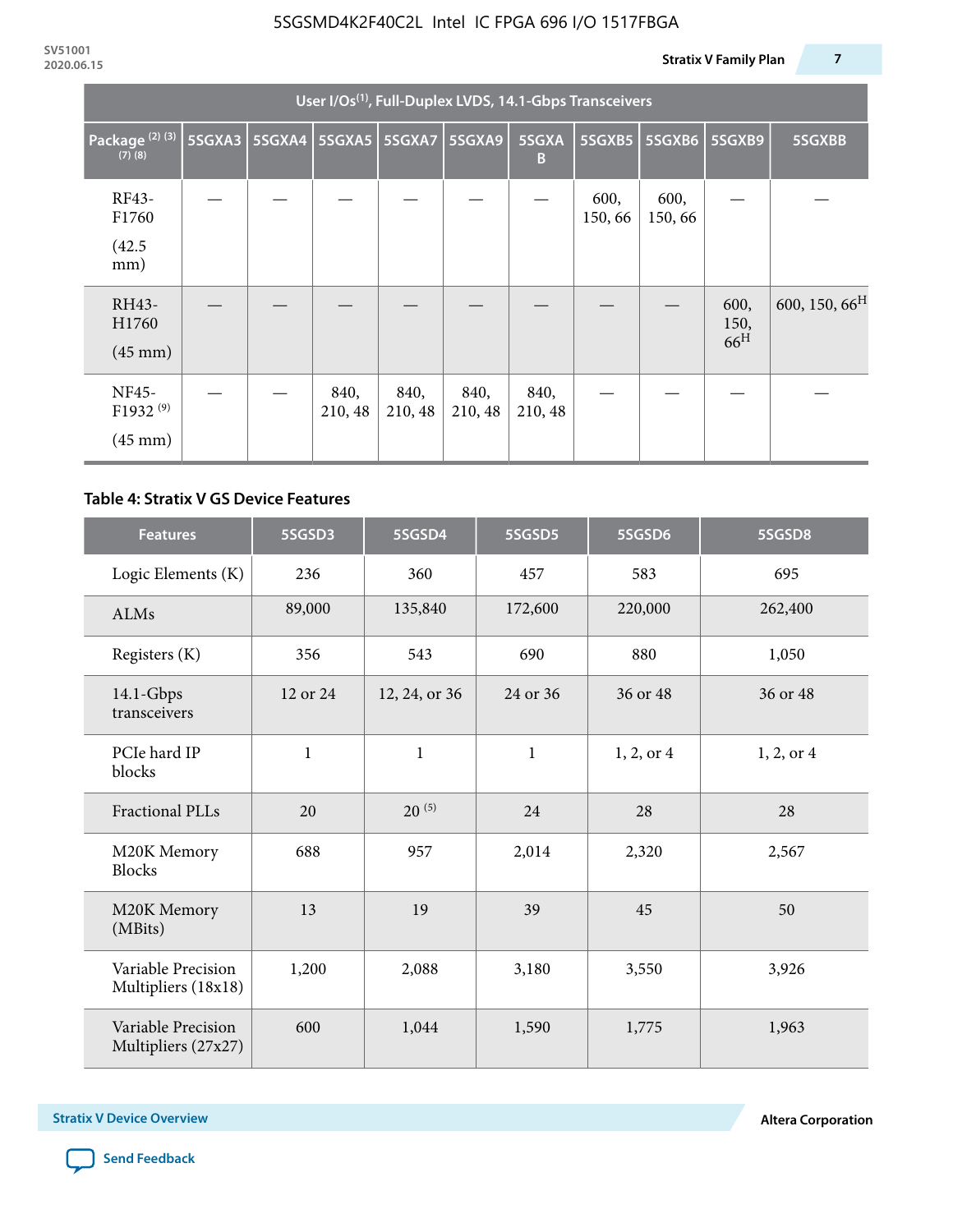|                                                    | User I/Os <sup>(1)</sup> , Full-Duplex LVDS, 14.1-Gbps Transceivers |  |                 |                                   |                 |                 |                |                          |                                 |                           |  |  |
|----------------------------------------------------|---------------------------------------------------------------------|--|-----------------|-----------------------------------|-----------------|-----------------|----------------|--------------------------|---------------------------------|---------------------------|--|--|
| Package <sup>(2)(3)</sup><br>$(7)$ $(8)$           |                                                                     |  |                 | 5SGXA3   5SGXA4   5SGXA5   5SGXA7 | <b>5SGXA9</b>   | 5SGXA<br>B      |                | 5SGXB5   5SGXB6   5SGXB9 |                                 | 5SGXBB                    |  |  |
| RF43-<br>F1760                                     |                                                                     |  |                 |                                   |                 |                 | 600,<br>150,66 | 600,<br>150,66           |                                 |                           |  |  |
| (42.5)<br>mm)                                      |                                                                     |  |                 |                                   |                 |                 |                |                          |                                 |                           |  |  |
| RH43-<br>H1760<br>$(45 \text{ mm})$                |                                                                     |  |                 |                                   |                 |                 |                |                          | 600,<br>150,<br>66 <sup>H</sup> | 600, 150, 66 <sup>H</sup> |  |  |
| NF45-<br>F1932 <sup>(9)</sup><br>$(45 \text{ mm})$ |                                                                     |  | 840,<br>210, 48 | 840,<br>210, 48                   | 840,<br>210, 48 | 840,<br>210, 48 |                |                          |                                 |                           |  |  |

### **Table 4: Stratix V GS Device Features**

| <b>Features</b>                           | 5SGSD3                    | 5SGSD4     | 5SGSD5       | 5SGSD6     | 5SGSD8     |
|-------------------------------------------|---------------------------|------------|--------------|------------|------------|
| Logic Elements (K)                        | 236                       | 360        | 457          | 583        | 695        |
| <b>ALMs</b>                               | 89,000                    | 135,840    | 172,600      | 220,000    | 262,400    |
| Registers (K)                             | 356                       | 543        | 690          | 880        | 1,050      |
| $14.1$ -Gbps<br>transceivers              | 12 or 24<br>12, 24, or 36 |            | 24 or 36     | 36 or 48   | 36 or 48   |
| PCIe hard IP<br>blocks                    | $\mathbf{1}$              |            | $\mathbf{1}$ | 1, 2, or 4 | 1, 2, or 4 |
| <b>Fractional PLLs</b>                    | 20                        | $20^{(5)}$ | 24           | 28         | 28         |
| M20K Memory<br><b>Blocks</b>              | 688                       | 957        | 2,014        | 2,320      | 2,567      |
| M20K Memory<br>(MBits)                    | 13                        |            | 39           | 45         | 50         |
| Variable Precision<br>Multipliers (18x18) | 1,200<br>2,088            |            | 3,180        | 3,550      | 3,926      |
| Variable Precision<br>Multipliers (27x27) | 600                       | 1,044      | 1,590        | 1,775      | 1,963      |

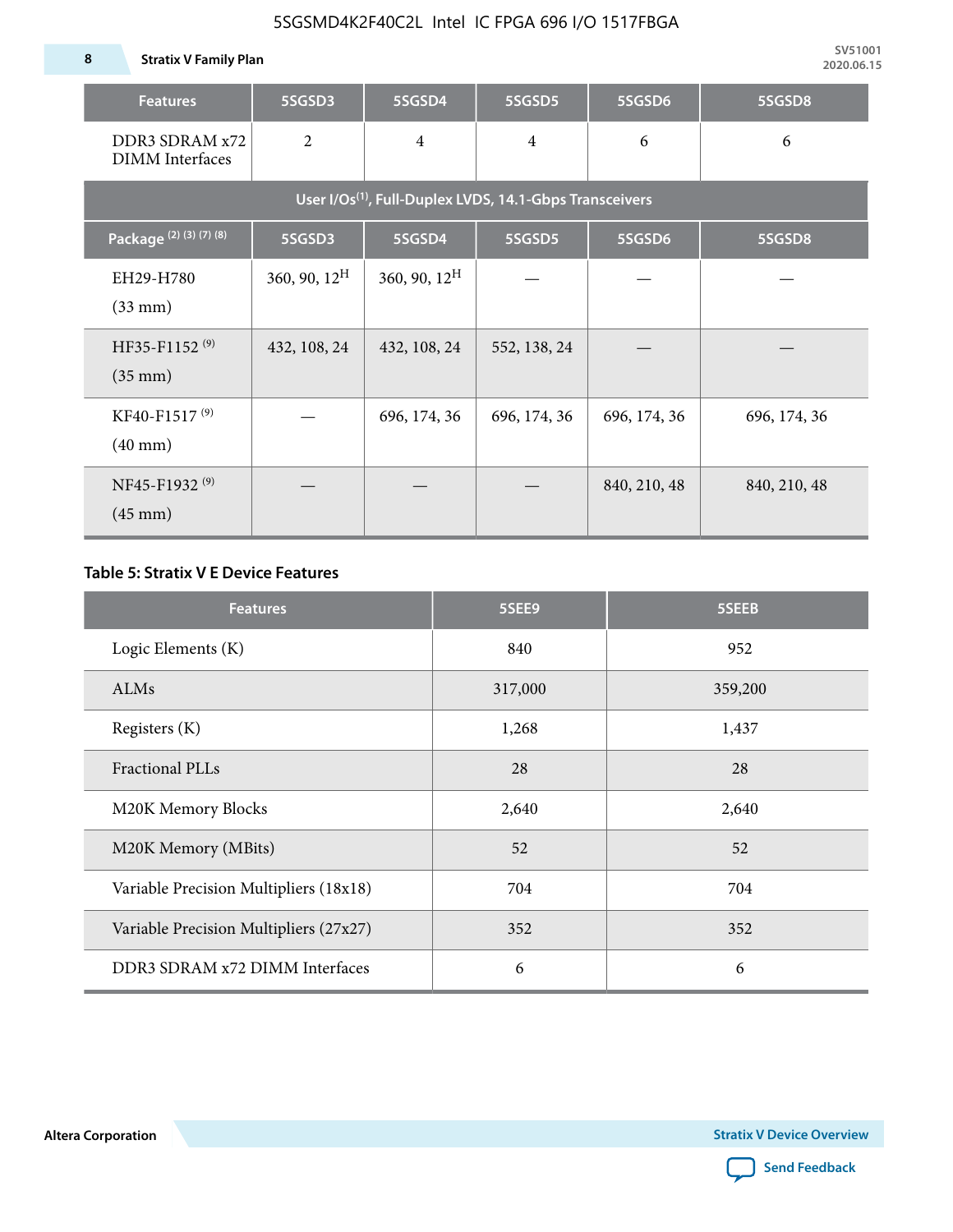| <b>Features</b>                                                     | 5SGSD3                   | 5SGSD4                           | 5SGSD5       | 5SGSD6       | 5SGSD8       |  |  |  |  |
|---------------------------------------------------------------------|--------------------------|----------------------------------|--------------|--------------|--------------|--|--|--|--|
| DDR3 SDRAM x72<br><b>DIMM</b> Interfaces                            | $\overline{2}$           | $\overline{4}$<br>$\overline{4}$ |              | 6            | 6            |  |  |  |  |
| User I/Os <sup>(1)</sup> , Full-Duplex LVDS, 14.1-Gbps Transceivers |                          |                                  |              |              |              |  |  |  |  |
| Package (2) (3) (7) (8)                                             | 5SGSD3                   | 5SGSD4                           | 5SGSD5       | 5SGSD6       | 5SGSD8       |  |  |  |  |
| EH29-H780<br>$(33$ mm $)$                                           | $360, 90, 12^{\text{H}}$ | 360, 90, $12^H$                  |              |              |              |  |  |  |  |
| HF35-F1152 <sup>(9)</sup><br>$(35 \text{ mm})$                      | 432, 108, 24             | 432, 108, 24                     | 552, 138, 24 |              |              |  |  |  |  |
| KF40-F1517 <sup>(9)</sup><br>$(40 \text{ mm})$                      |                          | 696, 174, 36                     | 696, 174, 36 | 696, 174, 36 | 696, 174, 36 |  |  |  |  |
| NF45-F1932 <sup>(9)</sup><br>$(45 \text{ mm})$                      |                          |                                  |              | 840, 210, 48 | 840, 210, 48 |  |  |  |  |

### **Table 5: Stratix V E Device Features**

| <b>Features</b>                        | 5SEE9   | 5SEEB   |
|----------------------------------------|---------|---------|
| Logic Elements (K)                     | 840     | 952     |
| ALMs                                   | 317,000 | 359,200 |
| Registers (K)                          | 1,268   | 1,437   |
| <b>Fractional PLLs</b>                 | 28      | 28      |
| M20K Memory Blocks                     | 2,640   | 2,640   |
| M20K Memory (MBits)                    | 52      | 52      |
| Variable Precision Multipliers (18x18) | 704     | 704     |
| Variable Precision Multipliers (27x27) | 352     | 352     |
| DDR3 SDRAM x72 DIMM Interfaces         | 6       | 6       |

**Altera Corporation** 

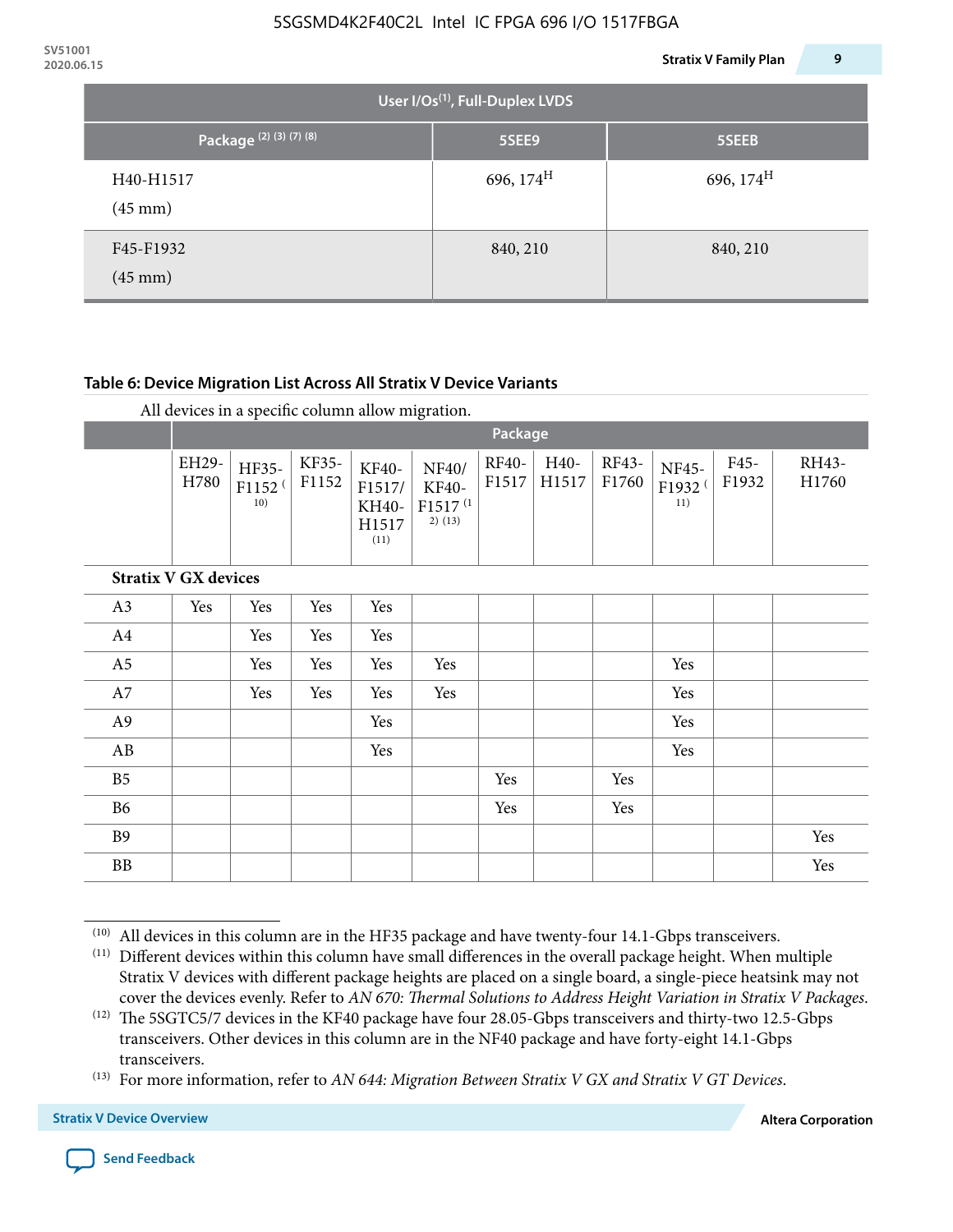| 2020.06.15 |                                    |                                             | <b>Stratix V Family Plan</b> | 9 |
|------------|------------------------------------|---------------------------------------------|------------------------------|---|
|            |                                    | User I/Os <sup>(1)</sup> , Full-Duplex LVDS |                              |   |
|            | Package <sup>(2)</sup> (3) (7) (8) | 5SEE9                                       | 5SEEB                        |   |
|            | H40-H1517<br>$(45 \text{ mm})$     | 696, $174^H$                                | 696, $174^{\text{H}}$        |   |
|            | F45-F1932<br>$(45 \text{ mm})$     | 840, 210                                    | 840, 210                     |   |

### **Table 6: Device Migration List Across All Stratix V Device Variants**

|  |  | All devices in a specific column allow migration. |
|--|--|---------------------------------------------------|
|--|--|---------------------------------------------------|

|                             |               | $\overline{\phantom{a}}$<br>Package |                |                                           |                                                           |                |               |                |                                    |               |                |
|-----------------------------|---------------|-------------------------------------|----------------|-------------------------------------------|-----------------------------------------------------------|----------------|---------------|----------------|------------------------------------|---------------|----------------|
|                             | EH29-<br>H780 | HF35-<br>F1152 <sup>(</sup><br>10)  | KF35-<br>F1152 | KF40-<br>F1517/<br>KH40-<br>H1517<br>(11) | NF40/<br><b>KF40-</b><br>F1517 <sup>(1</sup><br>$2)$ (13) | RF40-<br>F1517 | H40-<br>H1517 | RF43-<br>F1760 | NF45-<br>F1932 <sup>(</sup><br>11) | F45-<br>F1932 | RH43-<br>H1760 |
| <b>Stratix V GX devices</b> |               |                                     |                |                                           |                                                           |                |               |                |                                    |               |                |
| A3                          | Yes           | Yes                                 | Yes            | Yes                                       |                                                           |                |               |                |                                    |               |                |
| A4                          |               | Yes                                 | Yes            | Yes                                       |                                                           |                |               |                |                                    |               |                |
| A <sub>5</sub>              |               | Yes                                 | Yes            | Yes                                       | Yes                                                       |                |               |                | Yes                                |               |                |
| A7                          |               | Yes                                 | Yes            | Yes                                       | Yes                                                       |                |               |                | Yes                                |               |                |
| A9                          |               |                                     |                | Yes                                       |                                                           |                |               |                | Yes                                |               |                |
| AB                          |               |                                     |                | Yes                                       |                                                           |                |               |                | Yes                                |               |                |
| B <sub>5</sub>              |               |                                     |                |                                           |                                                           | Yes            |               | Yes            |                                    |               |                |
| B <sub>6</sub>              |               |                                     |                |                                           |                                                           | Yes            |               | Yes            |                                    |               |                |
| <b>B9</b>                   |               |                                     |                |                                           |                                                           |                |               |                |                                    |               | Yes            |
| <b>BB</b>                   |               |                                     |                |                                           |                                                           |                |               |                |                                    |               | Yes            |

 $(10)$  All devices in this column are in the HF35 package and have twenty-four 14.1-Gbps transceivers.



<sup>(11)</sup> Different devices within this column have small differences in the overall package height. When multiple Stratix V devices with different package heights are placed on a single board, a single-piece heatsink may not cover the devices evenly. Refer to *AN 670: Thermal Solutions to Address Height Variation in Stratix V Packages*.

<sup>(12)</sup> The 5SGTC5/7 devices in the KF40 package have four 28.05-Gbps transceivers and thirty-two 12.5-Gbps transceivers. Other devices in this column are in the NF40 package and have forty-eight 14.1-Gbps transceivers.

<sup>(13)</sup> For more information, refer to *AN 644: Migration Between Stratix V GX and Stratix V GT Devices*.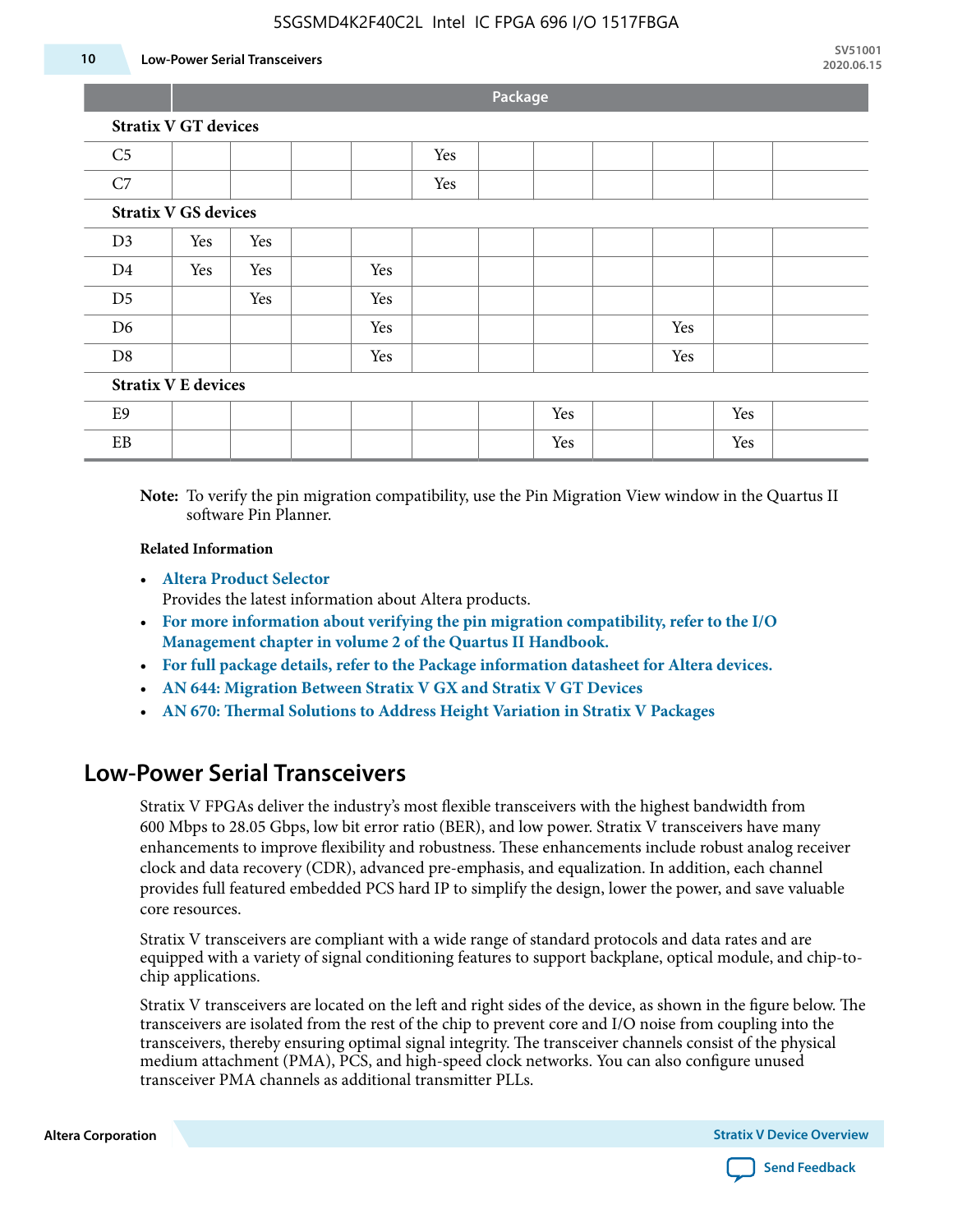#### **10 Low-Power Serial Transceivers**

**Package**

| <b>Stratix V GT devices</b> |  |  |
|-----------------------------|--|--|
|                             |  |  |

| C <sub>5</sub>             |                             |     |  |     | Yes |  |     |     |     |  |
|----------------------------|-----------------------------|-----|--|-----|-----|--|-----|-----|-----|--|
| C7                         |                             |     |  |     | Yes |  |     |     |     |  |
|                            | <b>Stratix V GS devices</b> |     |  |     |     |  |     |     |     |  |
| D <sub>3</sub>             | Yes                         | Yes |  |     |     |  |     |     |     |  |
| D <sub>4</sub>             | Yes                         | Yes |  | Yes |     |  |     |     |     |  |
| D <sub>5</sub>             |                             | Yes |  | Yes |     |  |     |     |     |  |
| D <sub>6</sub>             |                             |     |  | Yes |     |  |     | Yes |     |  |
| D <sub>8</sub>             |                             |     |  | Yes |     |  |     | Yes |     |  |
| <b>Stratix V E devices</b> |                             |     |  |     |     |  |     |     |     |  |
| E9                         |                             |     |  |     |     |  | Yes |     | Yes |  |
| EB                         |                             |     |  |     |     |  | Yes |     | Yes |  |

**Note:** To verify the pin migration compatibility, use the Pin Migration View window in the Quartus II software Pin Planner.

#### **Related Information**

• **[Altera Product Selector](http://www.altera.com/products/selector/psg-selector.html#)**

Provides the latest information about Altera products.

- **[For more information about verifying the pin migration compatibility, refer to the I/O](http://www.altera.com/literature/hb/qts/qts_qii52013.pdf) [Management chapter in volume 2 of the Quartus II Handbook.](http://www.altera.com/literature/hb/qts/qts_qii52013.pdf)**
- **[For full package details, refer to the Package information datasheet for Altera devices.](http://www.altera.com/support/devices/packaging/specifications/pkg-pin/spe-index.jsp)**
- **[AN 644: Migration Between Stratix V GX and Stratix V GT Devices](http://www.altera.com/literature/an/an644.pdf)**
- **[AN 670: Thermal Solutions to Address Height Variation in Stratix V Packages](http://www.altera.com/literature/an/an670.pdf)**

### **Low-Power Serial Transceivers**

Stratix V FPGAs deliver the industry's most flexible transceivers with the highest bandwidth from 600 Mbps to 28.05 Gbps, low bit error ratio (BER), and low power. Stratix V transceivers have many enhancements to improve flexibility and robustness. These enhancements include robust analog receiver clock and data recovery (CDR), advanced pre-emphasis, and equalization. In addition, each channel provides full featured embedded PCS hard IP to simplify the design, lower the power, and save valuable core resources.

Stratix V transceivers are compliant with a wide range of standard protocols and data rates and are equipped with a variety of signal conditioning features to support backplane, optical module, and chip-tochip applications.

Stratix V transceivers are located on the left and right sides of the device, as shown in the figure below. The transceivers are isolated from the rest of the chip to prevent core and I/O noise from coupling into the transceivers, thereby ensuring optimal signal integrity. The transceiver channels consist of the physical medium attachment (PMA), PCS, and high-speed clock networks. You can also configure unused transceiver PMA channels as additional transmitter PLLs.

**Altera Corporation Stratix V Device Overview**

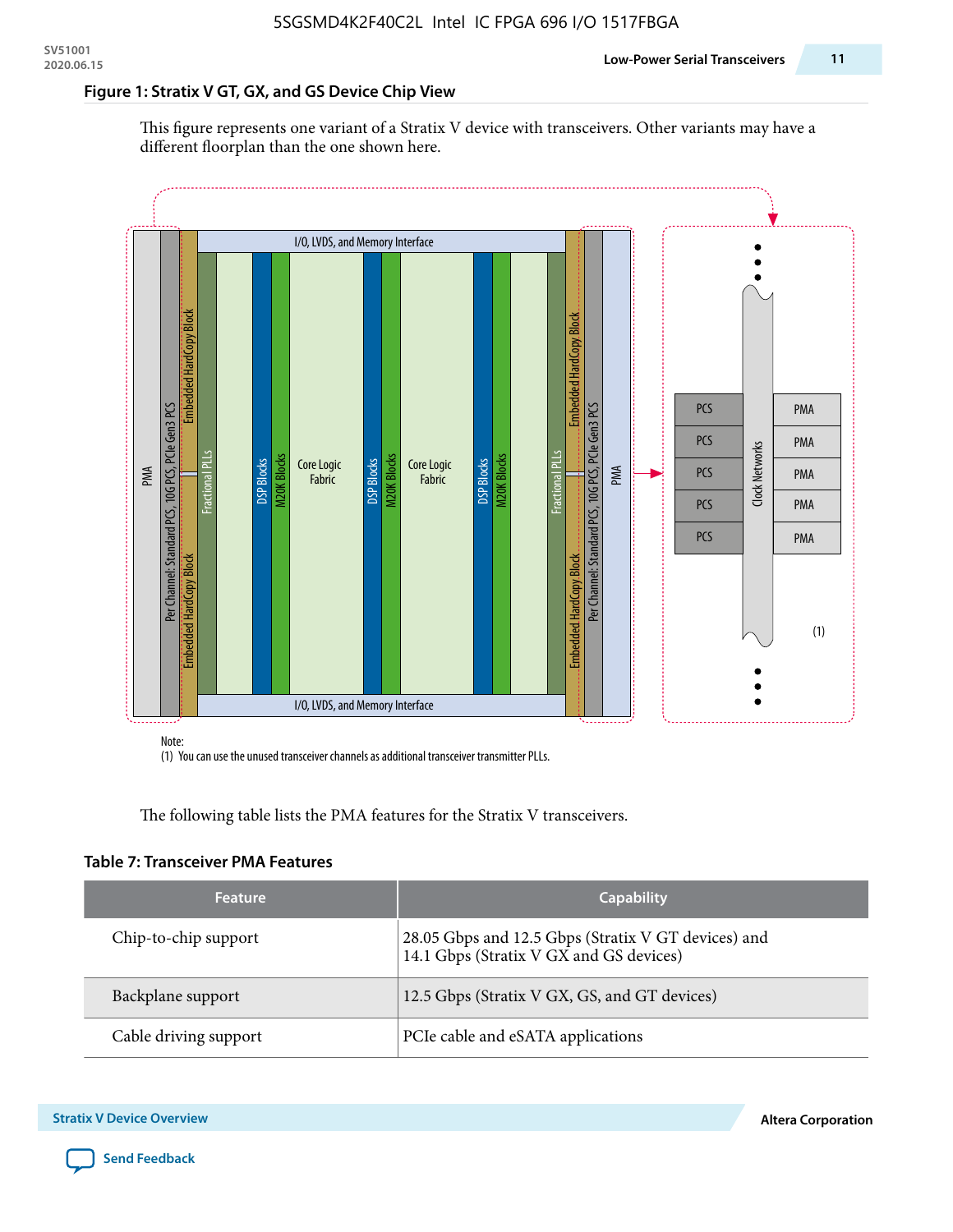#### **Figure 1: Stratix V GT, GX, and GS Device Chip View**

This figure represents one variant of a Stratix V device with transceivers. Other variants may have a different floorplan than the one shown here.



(1) You can use the unused transceiver channels as additional transceiver transmitter PLLs.

The following table lists the PMA features for the Stratix V transceivers.

#### **Table 7: Transceiver PMA Features**

| <b>Feature</b>        | <b>Capability</b>                                                                              |
|-----------------------|------------------------------------------------------------------------------------------------|
| Chip-to-chip support  | 28.05 Gbps and 12.5 Gbps (Stratix V GT devices) and<br>14.1 Gbps (Stratix V GX and GS devices) |
| Backplane support     | 12.5 Gbps (Stratix V GX, GS, and GT devices)                                                   |
| Cable driving support | PCIe cable and eSATA applications                                                              |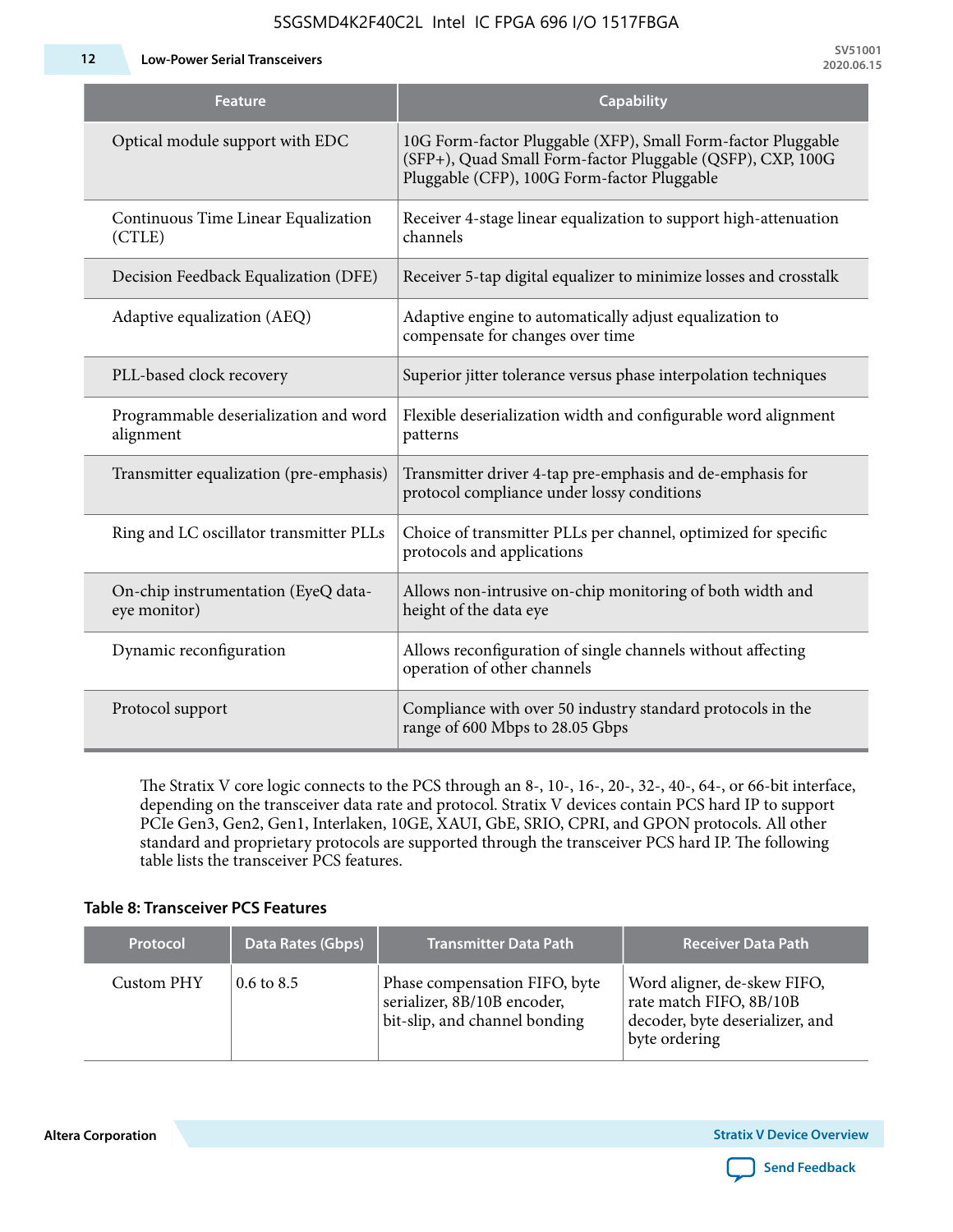**12 Low-Power Serial Transceivers**

| <b>Feature</b>                                      | <b>Capability</b>                                                                                                                                                         |
|-----------------------------------------------------|---------------------------------------------------------------------------------------------------------------------------------------------------------------------------|
| Optical module support with EDC                     | 10G Form-factor Pluggable (XFP), Small Form-factor Pluggable<br>(SFP+), Quad Small Form-factor Pluggable (QSFP), CXP, 100G<br>Pluggable (CFP), 100G Form-factor Pluggable |
| Continuous Time Linear Equalization<br>(CTLE)       | Receiver 4-stage linear equalization to support high-attenuation<br>channels                                                                                              |
| Decision Feedback Equalization (DFE)                | Receiver 5-tap digital equalizer to minimize losses and crosstalk                                                                                                         |
| Adaptive equalization (AEQ)                         | Adaptive engine to automatically adjust equalization to<br>compensate for changes over time                                                                               |
| PLL-based clock recovery                            | Superior jitter tolerance versus phase interpolation techniques                                                                                                           |
| Programmable deserialization and word<br>alignment  | Flexible deserialization width and configurable word alignment<br>patterns                                                                                                |
| Transmitter equalization (pre-emphasis)             | Transmitter driver 4-tap pre-emphasis and de-emphasis for<br>protocol compliance under lossy conditions                                                                   |
| Ring and LC oscillator transmitter PLLs             | Choice of transmitter PLLs per channel, optimized for specific<br>protocols and applications                                                                              |
| On-chip instrumentation (EyeQ data-<br>eye monitor) | Allows non-intrusive on-chip monitoring of both width and<br>height of the data eye                                                                                       |
| Dynamic reconfiguration                             | Allows reconfiguration of single channels without affecting<br>operation of other channels                                                                                |
| Protocol support                                    | Compliance with over 50 industry standard protocols in the<br>range of 600 Mbps to 28.05 Gbps                                                                             |

The Stratix V core logic connects to the PCS through an 8-, 10-, 16-, 20-, 32-, 40-, 64-, or 66-bit interface, depending on the transceiver data rate and protocol. Stratix V devices contain PCS hard IP to support PCIe Gen3, Gen2, Gen1, Interlaken, 10GE, XAUI, GbE, SRIO, CPRI, and GPON protocols. All other standard and proprietary protocols are supported through the transceiver PCS hard IP. The following table lists the transceiver PCS features.

#### **Table 8: Transceiver PCS Features**

| <b>Protocol</b> | Data Rates (Gbps)     | <b>Transmitter Data Path</b>                                                                  | <b>Receiver Data Path</b>                                                                                  |
|-----------------|-----------------------|-----------------------------------------------------------------------------------------------|------------------------------------------------------------------------------------------------------------|
| Custom PHY      | $0.6 \text{ to } 8.5$ | Phase compensation FIFO, byte<br>serializer, 8B/10B encoder,<br>bit-slip, and channel bonding | Word aligner, de-skew FIFO,<br>rate match FIFO, 8B/10B<br>decoder, byte deserializer, and<br>byte ordering |

**Altera Corporation** 

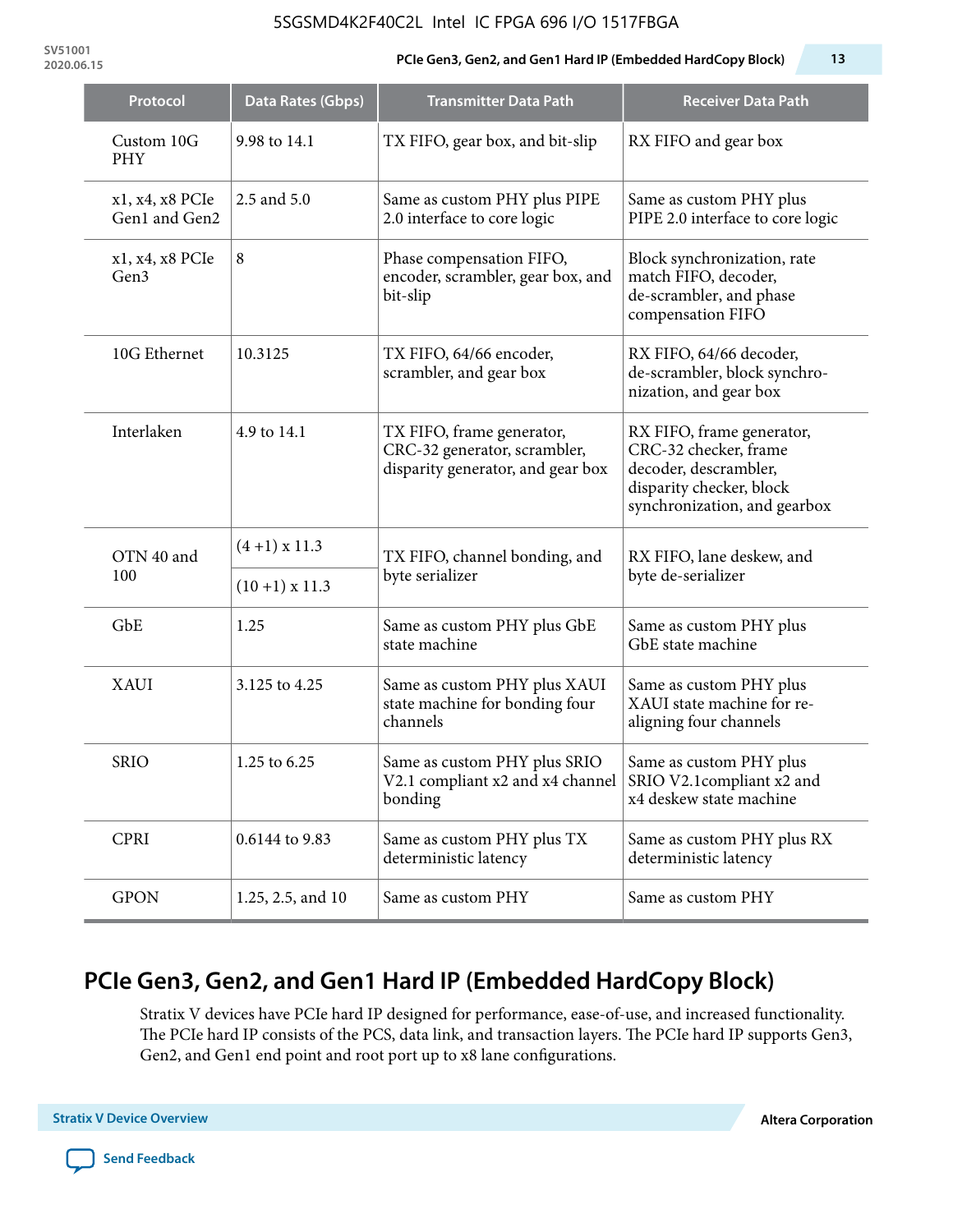**SV51001**

#### **2020.06.15 PCIe Gen3, Gen2, and Gen1 Hard IP (Embedded HardCopy Block) 13**

| Protocol                         | <b>Data Rates (Gbps)</b> | <b>Transmitter Data Path</b>                                                                           | <b>Receiver Data Path</b>                                                                                                               |  |
|----------------------------------|--------------------------|--------------------------------------------------------------------------------------------------------|-----------------------------------------------------------------------------------------------------------------------------------------|--|
| Custom 10G<br><b>PHY</b>         | 9.98 to 14.1             | TX FIFO, gear box, and bit-slip                                                                        | RX FIFO and gear box                                                                                                                    |  |
| x1, x4, x8 PCIe<br>Gen1 and Gen2 | 2.5 and 5.0              | Same as custom PHY plus PIPE<br>2.0 interface to core logic                                            | Same as custom PHY plus<br>PIPE 2.0 interface to core logic                                                                             |  |
| x1, x4, x8 PCIe<br>Gen3          | 8                        | Phase compensation FIFO,<br>encoder, scrambler, gear box, and<br>bit-slip                              | Block synchronization, rate<br>match FIFO, decoder,<br>de-scrambler, and phase<br>compensation FIFO                                     |  |
| 10G Ethernet                     | 10.3125                  | TX FIFO, 64/66 encoder,<br>scrambler, and gear box                                                     | RX FIFO, 64/66 decoder,<br>de-scrambler, block synchro-<br>nization, and gear box                                                       |  |
| Interlaken                       | 4.9 to 14.1              | TX FIFO, frame generator,<br>CRC-32 generator, scrambler,<br>disparity generator, and gear box         | RX FIFO, frame generator,<br>CRC-32 checker, frame<br>decoder, descrambler,<br>disparity checker, block<br>synchronization, and gearbox |  |
| OTN 40 and                       | $(4+1)$ x 11.3           | TX FIFO, channel bonding, and                                                                          | RX FIFO, lane deskew, and                                                                                                               |  |
| 100                              | $(10+1)$ x 11.3          | byte serializer                                                                                        | byte de-serializer                                                                                                                      |  |
| GbE                              | 1.25                     | Same as custom PHY plus GbE<br>state machine                                                           | Same as custom PHY plus<br>GbE state machine                                                                                            |  |
| <b>XAUI</b>                      | 3.125 to 4.25            | Same as custom PHY plus XAUI<br>state machine for bonding four<br>channels                             | Same as custom PHY plus<br>XAUI state machine for re-<br>aligning four channels                                                         |  |
| <b>SRIO</b>                      | 1.25 to 6.25             | Same as custom PHY plus SRIO<br>V2.1 compliant x2 and x4 channel SRIO V2.1 compliant x2 and<br>bonding | Same as custom PHY plus<br>x4 deskew state machine                                                                                      |  |
| <b>CPRI</b>                      | 0.6144 to 9.83           | Same as custom PHY plus TX<br>deterministic latency                                                    | Same as custom PHY plus RX<br>deterministic latency                                                                                     |  |
| <b>GPON</b>                      | 1.25, 2.5, and 10        | Same as custom PHY                                                                                     | Same as custom PHY                                                                                                                      |  |

# **PCIe Gen3, Gen2, and Gen1 Hard IP (Embedded HardCopy Block)**

Stratix V devices have PCIe hard IP designed for performance, ease-of-use, and increased functionality. The PCIe hard IP consists of the PCS, data link, and transaction layers. The PCIe hard IP supports Gen3, Gen2, and Gen1 end point and root port up to x8 lane configurations.

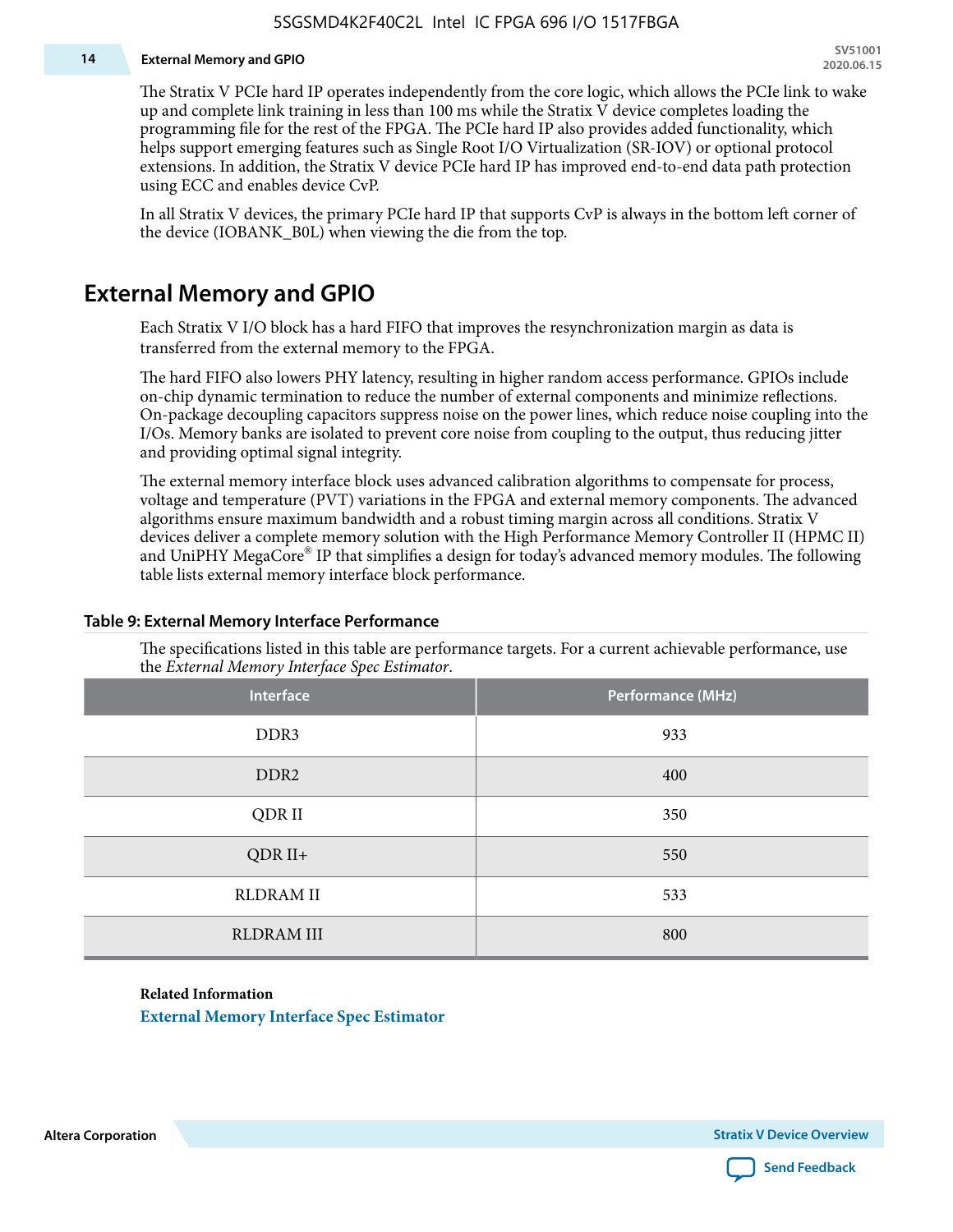#### **14 External Memory and GPIO**

The Stratix V PCIe hard IP operates independently from the core logic, which allows the PCIe link to wake up and complete link training in less than 100 ms while the Stratix V device completes loading the programming file for the rest of the FPGA. The PCIe hard IP also provides added functionality, which helps support emerging features such as Single Root I/O Virtualization (SR-IOV) or optional protocol extensions. In addition, the Stratix V device PCIe hard IP has improved end-to-end data path protection using ECC and enables device CvP.

In all Stratix V devices, the primary PCIe hard IP that supports CvP is always in the bottom left corner of the device (IOBANK\_B0L) when viewing the die from the top.

### **External Memory and GPIO**

Each Stratix V I/O block has a hard FIFO that improves the resynchronization margin as data is transferred from the external memory to the FPGA.

The hard FIFO also lowers PHY latency, resulting in higher random access performance. GPIOs include on-chip dynamic termination to reduce the number of external components and minimize reflections. On-package decoupling capacitors suppress noise on the power lines, which reduce noise coupling into the I/Os. Memory banks are isolated to prevent core noise from coupling to the output, thus reducing jitter and providing optimal signal integrity.

The external memory interface block uses advanced calibration algorithms to compensate for process, voltage and temperature (PVT) variations in the FPGA and external memory components. The advanced algorithms ensure maximum bandwidth and a robust timing margin across all conditions. Stratix V devices deliver a complete memory solution with the High Performance Memory Controller II (HPMC II) and UniPHY MegaCore® IP that simplifies a design for today's advanced memory modules. The following table lists external memory interface block performance.

| Interface         | Performance (MHz) |
|-------------------|-------------------|
| DDR3              | 933               |
| DDR <sub>2</sub>  | 400               |
| QDR II            | 350               |
| $QDR II+$         | 550               |
| <b>RLDRAM II</b>  | 533               |
| <b>RLDRAM III</b> | 800               |

#### **Table 9: External Memory Interface Performance**

The specifications listed in this table are performance targets. For a current achievable performance, use the *External Memory Interface Spec Estimator*.

#### **Related Information**

**[External Memory Interface Spec Estimator](http://www.altera.com/technology/memory/estimator/mem-emif-index.html)**

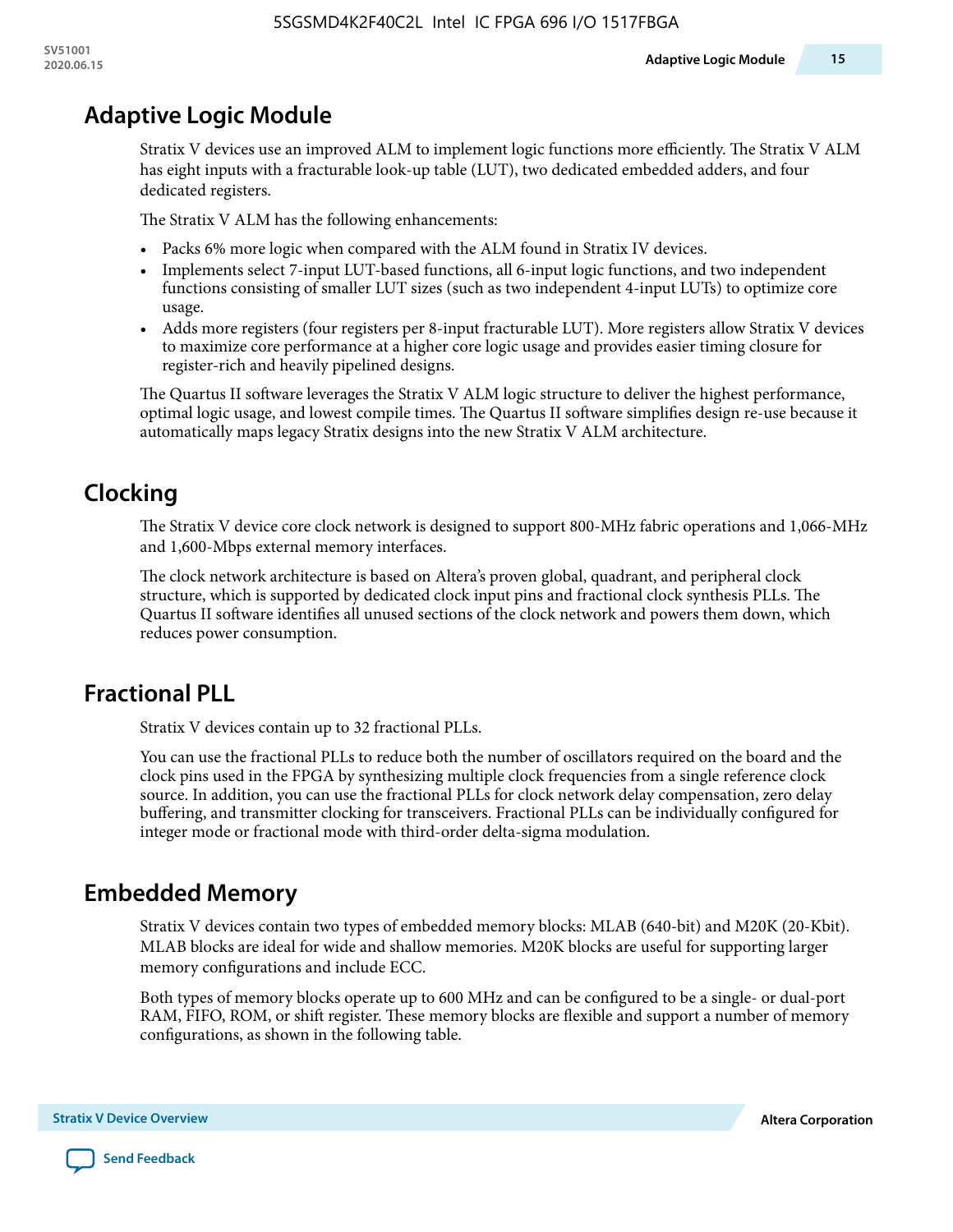# **Adaptive Logic Module**

Stratix V devices use an improved ALM to implement logic functions more efficiently. The Stratix V ALM has eight inputs with a fracturable look-up table (LUT), two dedicated embedded adders, and four dedicated registers.

The Stratix V ALM has the following enhancements:

- Packs 6% more logic when compared with the ALM found in Stratix IV devices.
- Implements select 7-input LUT-based functions, all 6-input logic functions, and two independent functions consisting of smaller LUT sizes (such as two independent 4-input LUTs) to optimize core usage.
- Adds more registers (four registers per 8-input fracturable LUT). More registers allow Stratix V devices to maximize core performance at a higher core logic usage and provides easier timing closure for register-rich and heavily pipelined designs.

The Quartus II software leverages the Stratix V ALM logic structure to deliver the highest performance, optimal logic usage, and lowest compile times. The Quartus II software simplifies design re-use because it automatically maps legacy Stratix designs into the new Stratix V ALM architecture.

# **Clocking**

The Stratix V device core clock network is designed to support 800-MHz fabric operations and 1,066-MHz and 1,600-Mbps external memory interfaces.

The clock network architecture is based on Altera's proven global, quadrant, and peripheral clock structure, which is supported by dedicated clock input pins and fractional clock synthesis PLLs. The Quartus II software identifies all unused sections of the clock network and powers them down, which reduces power consumption.

# **Fractional PLL**

Stratix V devices contain up to 32 fractional PLLs.

You can use the fractional PLLs to reduce both the number of oscillators required on the board and the clock pins used in the FPGA by synthesizing multiple clock frequencies from a single reference clock source. In addition, you can use the fractional PLLs for clock network delay compensation, zero delay buffering, and transmitter clocking for transceivers. Fractional PLLs can be individually configured for integer mode or fractional mode with third-order delta-sigma modulation.

# **Embedded Memory**

Stratix V devices contain two types of embedded memory blocks: MLAB (640-bit) and M20K (20-Kbit). MLAB blocks are ideal for wide and shallow memories. M20K blocks are useful for supporting larger memory configurations and include ECC.

Both types of memory blocks operate up to 600 MHz and can be configured to be a single- or dual-port RAM, FIFO, ROM, or shift register. These memory blocks are flexible and support a number of memory configurations, as shown in the following table.

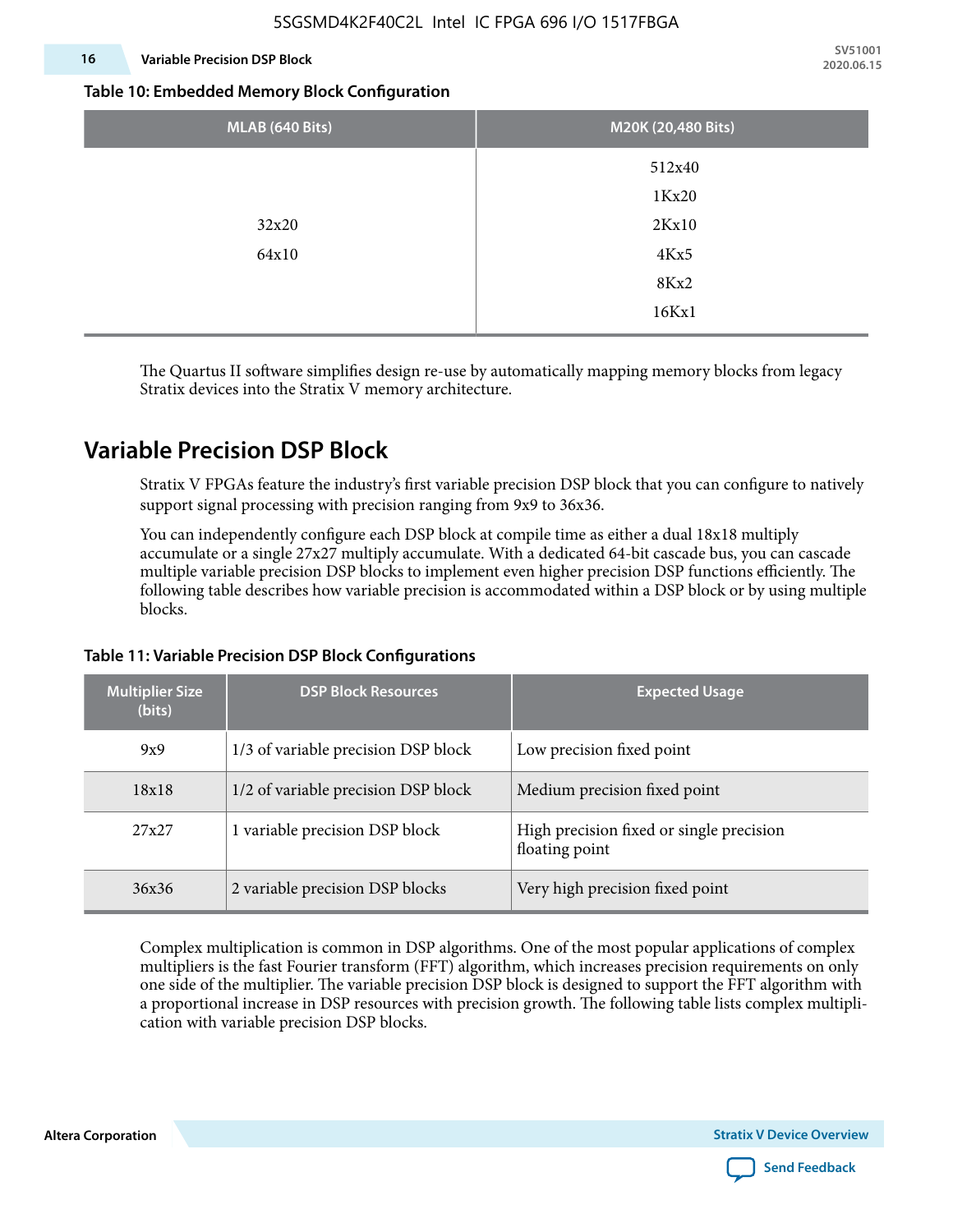#### **16 Variable Precision DSP Block**

**SV51001 2020.06.15**

#### **Table 10: Embedded Memory Block Configuration**

| MLAB (640 Bits) | M20K (20,480 Bits) |
|-----------------|--------------------|
|                 | 512x40             |
|                 | 1Kx20              |
| 32x20           | 2Kx10              |
| 64x10           | 4Kx5               |
|                 | 8Kx2               |
|                 | 16Kx1              |

The Quartus II software simplifies design re-use by automatically mapping memory blocks from legacy Stratix devices into the Stratix V memory architecture.

### **Variable Precision DSP Block**

Stratix V FPGAs feature the industry's first variable precision DSP block that you can configure to natively support signal processing with precision ranging from 9x9 to 36x36.

You can independently configure each DSP block at compile time as either a dual 18x18 multiply accumulate or a single 27x27 multiply accumulate. With a dedicated 64-bit cascade bus, you can cascade multiple variable precision DSP blocks to implement even higher precision DSP functions efficiently. The following table describes how variable precision is accommodated within a DSP block or by using multiple blocks.

| <b>Multiplier Size</b><br>(bits) | <b>DSP Block Resources</b>          | <b>Expected Usage</b>                                      |  |  |
|----------------------------------|-------------------------------------|------------------------------------------------------------|--|--|
| 9x9                              | 1/3 of variable precision DSP block | Low precision fixed point                                  |  |  |
| 18x18                            | 1/2 of variable precision DSP block | Medium precision fixed point                               |  |  |
| 27x27                            | 1 variable precision DSP block      | High precision fixed or single precision<br>floating point |  |  |
| 36x36                            | 2 variable precision DSP blocks     | Very high precision fixed point                            |  |  |

#### **Table 11: Variable Precision DSP Block Configurations**

Complex multiplication is common in DSP algorithms. One of the most popular applications of complex multipliers is the fast Fourier transform (FFT) algorithm, which increases precision requirements on only one side of the multiplier. The variable precision DSP block is designed to support the FFT algorithm with a proportional increase in DSP resources with precision growth. The following table lists complex multipli‐ cation with variable precision DSP blocks.

**Altera Corporation** 

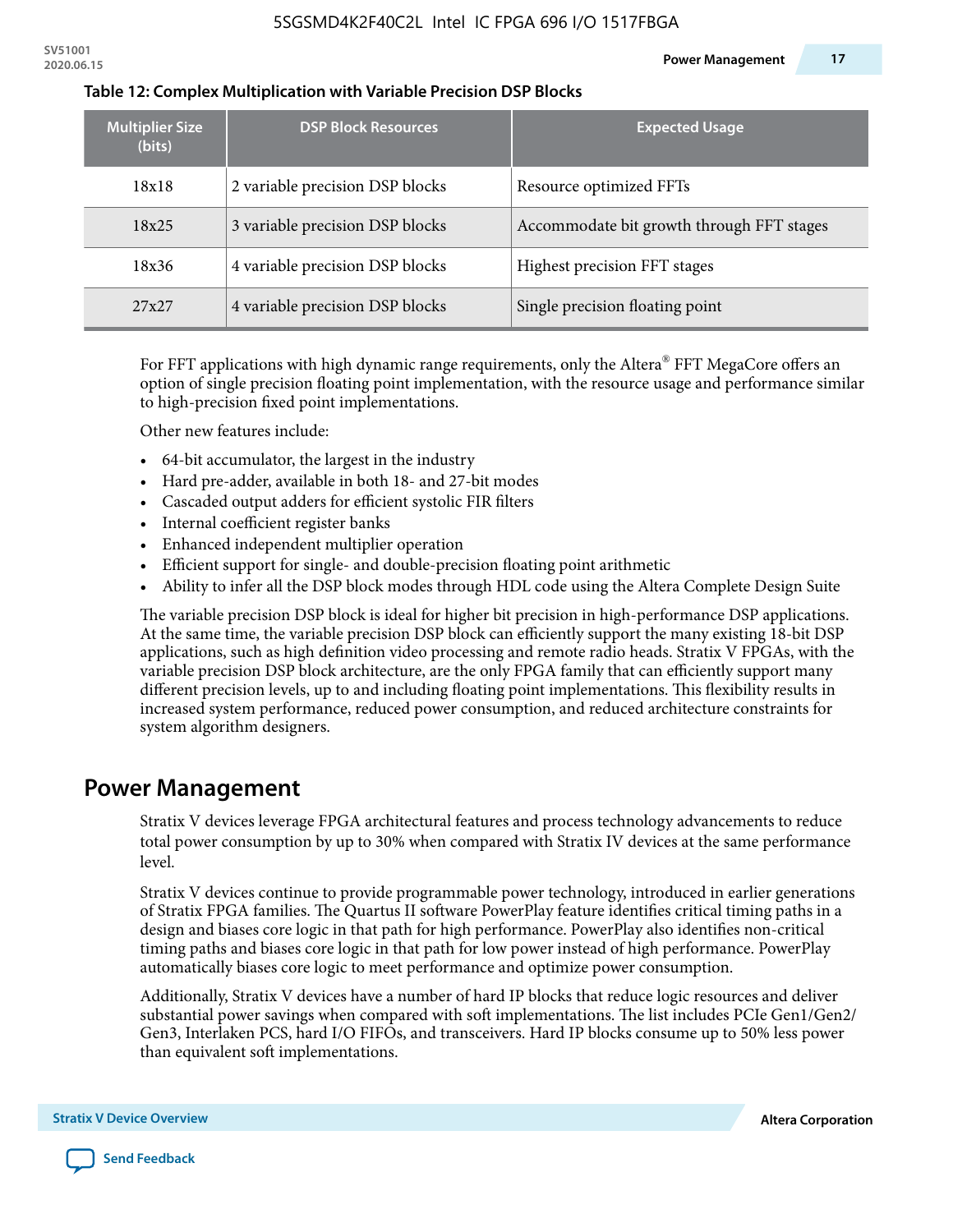| <b>Multiplier Size</b><br>(bits) | <b>DSP Block Resources</b>      | <b>Expected Usage</b>                     |
|----------------------------------|---------------------------------|-------------------------------------------|
| 18x18                            | 2 variable precision DSP blocks | Resource optimized FFTs                   |
| 18x25                            | 3 variable precision DSP blocks | Accommodate bit growth through FFT stages |
| 18x36                            | 4 variable precision DSP blocks | Highest precision FFT stages              |
| 27x27                            | 4 variable precision DSP blocks | Single precision floating point           |

#### **Table 12: Complex Multiplication with Variable Precision DSP Blocks**

For FFT applications with high dynamic range requirements, only the Altera $^\circ$  FFT MegaCore offers an option of single precision floating point implementation, with the resource usage and performance similar to high-precision fixed point implementations.

Other new features include:

- 64-bit accumulator, the largest in the industry
- Hard pre-adder, available in both 18- and 27-bit modes
- Cascaded output adders for efficient systolic FIR filters
- Internal coefficient register banks
- Enhanced independent multiplier operation
- Efficient support for single- and double-precision floating point arithmetic
- Ability to infer all the DSP block modes through HDL code using the Altera Complete Design Suite

The variable precision DSP block is ideal for higher bit precision in high-performance DSP applications. At the same time, the variable precision DSP block can efficiently support the many existing 18-bit DSP applications, such as high definition video processing and remote radio heads. Stratix V FPGAs, with the variable precision DSP block architecture, are the only FPGA family that can efficiently support many different precision levels, up to and including floating point implementations. This flexibility results in increased system performance, reduced power consumption, and reduced architecture constraints for system algorithm designers.

### **Power Management**

Stratix V devices leverage FPGA architectural features and process technology advancements to reduce total power consumption by up to 30% when compared with Stratix IV devices at the same performance level.

Stratix V devices continue to provide programmable power technology, introduced in earlier generations of Stratix FPGA families. The Quartus II software PowerPlay feature identifies critical timing paths in a design and biases core logic in that path for high performance. PowerPlay also identifies non-critical timing paths and biases core logic in that path for low power instead of high performance. PowerPlay automatically biases core logic to meet performance and optimize power consumption.

Additionally, Stratix V devices have a number of hard IP blocks that reduce logic resources and deliver substantial power savings when compared with soft implementations. The list includes PCIe Gen1/Gen2/ Gen3, Interlaken PCS, hard I/O FIFOs, and transceivers. Hard IP blocks consume up to 50% less power than equivalent soft implementations.

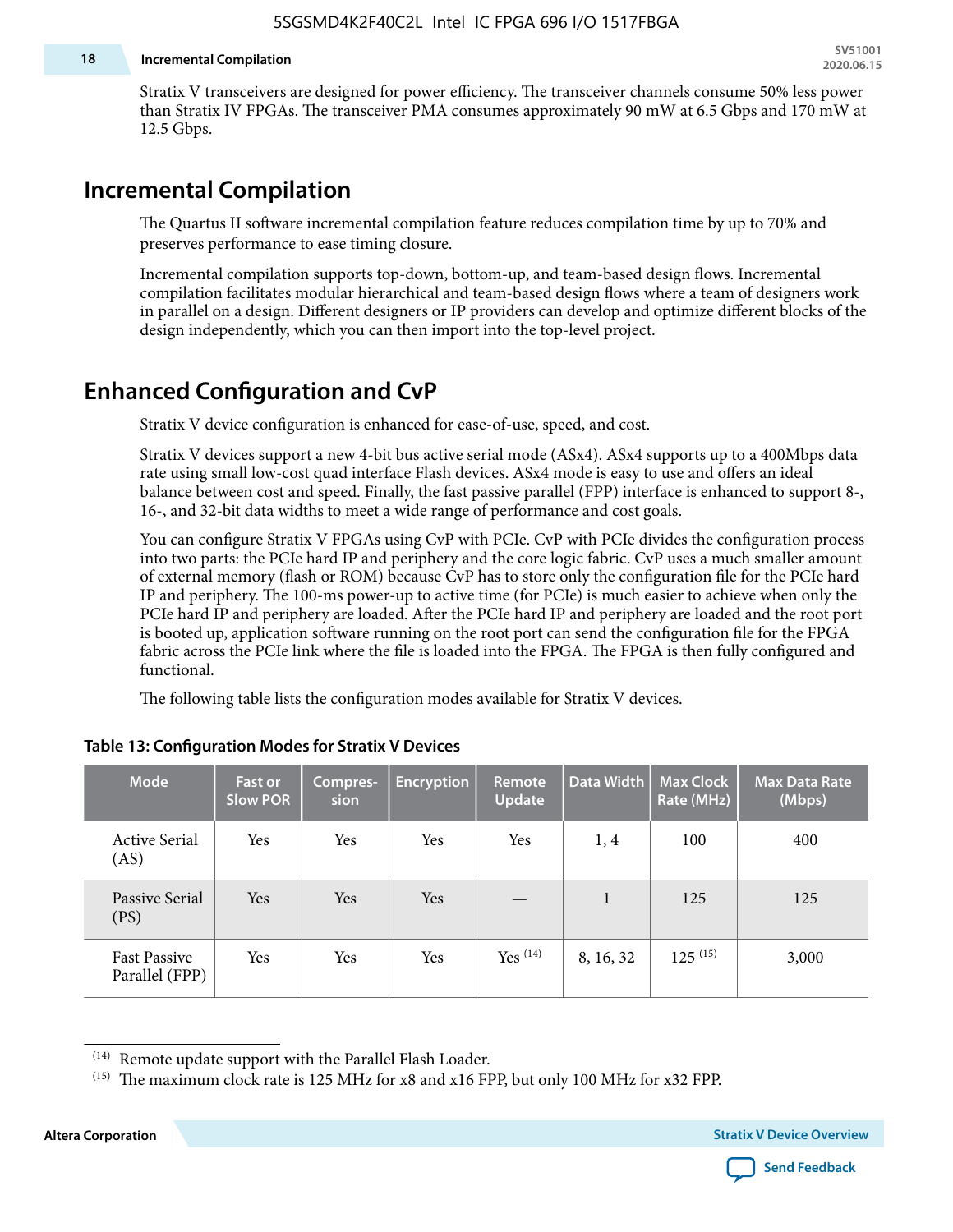#### **18 Incremental Compilation**

Stratix V transceivers are designed for power efficiency. The transceiver channels consume 50% less power than Stratix IV FPGAs. The transceiver PMA consumes approximately 90 mW at 6.5 Gbps and 170 mW at 12.5 Gbps.

### **Incremental Compilation**

The Quartus II software incremental compilation feature reduces compilation time by up to 70% and preserves performance to ease timing closure.

Incremental compilation supports top-down, bottom-up, and team-based design flows. Incremental compilation facilitates modular hierarchical and team-based design flows where a team of designers work in parallel on a design. Different designers or IP providers can develop and optimize different blocks of the design independently, which you can then import into the top-level project.

### **Enhanced Configuration and CvP**

Stratix V device configuration is enhanced for ease-of-use, speed, and cost.

Stratix V devices support a new 4-bit bus active serial mode (ASx4). ASx4 supports up to a 400Mbps data rate using small low-cost quad interface Flash devices. ASx4 mode is easy to use and offers an ideal balance between cost and speed. Finally, the fast passive parallel (FPP) interface is enhanced to support 8-, 16-, and 32-bit data widths to meet a wide range of performance and cost goals.

You can configure Stratix V FPGAs using CvP with PCIe. CvP with PCIe divides the configuration process into two parts: the PCIe hard IP and periphery and the core logic fabric. CvP uses a much smaller amount of external memory (flash or ROM) because CvP has to store only the configuration file for the PCIe hard IP and periphery. The 100-ms power-up to active time (for PCIe) is much easier to achieve when only the PCIe hard IP and periphery are loaded. After the PCIe hard IP and periphery are loaded and the root port is booted up, application software running on the root port can send the configuration file for the FPGA fabric across the PCIe link where the file is loaded into the FPGA. The FPGA is then fully configured and functional.

The following table lists the configuration modes available for Stratix V devices.

| <b>Mode</b>                           | <b>Fast or</b><br><b>Slow POR</b> | Compres-<br>sion | <b>Encryption</b> | <b>Remote</b><br><b>Update</b> | Data Width | <b>Max Clock</b><br>Rate (MHz) | <b>Max Data Rate</b><br>(Mbps) |
|---------------------------------------|-----------------------------------|------------------|-------------------|--------------------------------|------------|--------------------------------|--------------------------------|
| <b>Active Serial</b><br>(AS)          | Yes                               | Yes              | Yes               | Yes                            | 1,4        | 100                            | 400                            |
| Passive Serial<br>(PS)                | Yes                               | <b>Yes</b>       | Yes               |                                | 1          | 125                            | 125                            |
| <b>Fast Passive</b><br>Parallel (FPP) | Yes                               | Yes              | Yes               | Yes $(14)$                     | 8, 16, 32  | $125^{(15)}$                   | 3,000                          |

#### **Table 13: Configuration Modes for Stratix V Devices**

**Altera Corporation Stratix V Device Overview**



<sup>(14)</sup> Remote update support with the Parallel Flash Loader.

<sup>&</sup>lt;sup>(15)</sup> The maximum clock rate is 125 MHz for x8 and x16 FPP, but only 100 MHz for x32 FPP.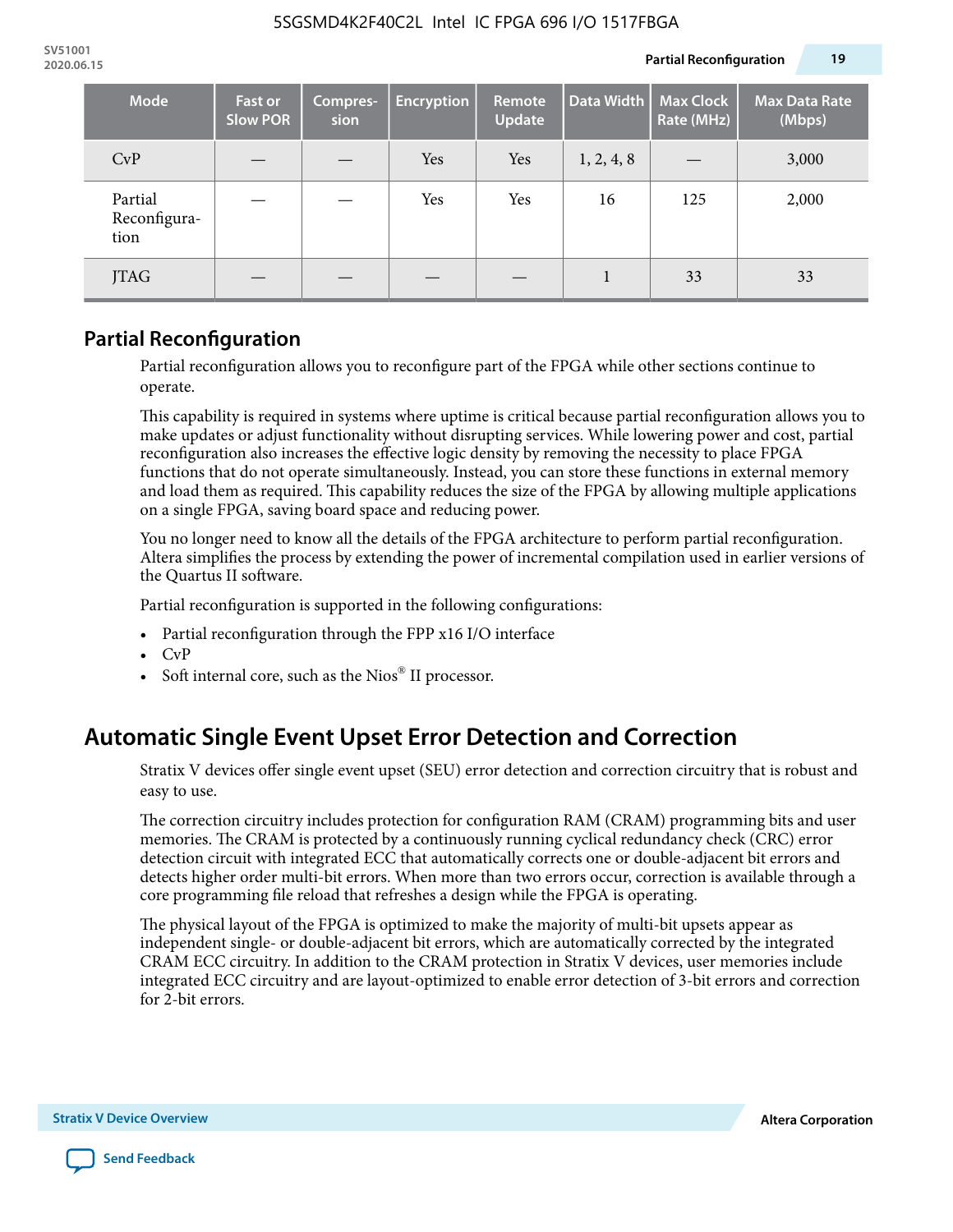| <b>Mode</b>                     | <b>Fast or</b><br><b>Slow POR</b> | Compres-<br>sion | <b>Encryption</b> | Remote<br><b>Update</b> | Data Width | <b>Max Clock</b><br>Rate (MHz) | <b>Max Data Rate</b><br>(Mbps) |
|---------------------------------|-----------------------------------|------------------|-------------------|-------------------------|------------|--------------------------------|--------------------------------|
| CvP                             |                                   |                  | Yes               | Yes                     | 1, 2, 4, 8 |                                | 3,000                          |
| Partial<br>Reconfigura-<br>tion |                                   |                  | Yes               | Yes                     | 16         | 125                            | 2,000                          |
| JTAG                            |                                   |                  |                   |                         |            | 33                             | 33                             |

### **Partial Reconfiguration**

Partial reconfiguration allows you to reconfigure part of the FPGA while other sections continue to operate.

This capability is required in systems where uptime is critical because partial reconfiguration allows you to make updates or adjust functionality without disrupting services. While lowering power and cost, partial reconfiguration also increases the effective logic density by removing the necessity to place FPGA functions that do not operate simultaneously. Instead, you can store these functions in external memory and load them as required. This capability reduces the size of the FPGA by allowing multiple applications on a single FPGA, saving board space and reducing power.

You no longer need to know all the details of the FPGA architecture to perform partial reconfiguration. Altera simplifies the process by extending the power of incremental compilation used in earlier versions of the Quartus II software.

Partial reconfiguration is supported in the following configurations:

- Partial reconfiguration through the FPP x16 I/O interface
- CvP
- Soft internal core, such as the Nios® II processor.

# **Automatic Single Event Upset Error Detection and Correction**

Stratix V devices offer single event upset (SEU) error detection and correction circuitry that is robust and easy to use.

The correction circuitry includes protection for configuration RAM (CRAM) programming bits and user memories. The CRAM is protected by a continuously running cyclical redundancy check (CRC) error detection circuit with integrated ECC that automatically corrects one or double-adjacent bit errors and detects higher order multi-bit errors. When more than two errors occur, correction is available through a core programming file reload that refreshes a design while the FPGA is operating.

The physical layout of the FPGA is optimized to make the majority of multi-bit upsets appear as independent single- or double-adjacent bit errors, which are automatically corrected by the integrated CRAM ECC circuitry. In addition to the CRAM protection in Stratix V devices, user memories include integrated ECC circuitry and are layout-optimized to enable error detection of 3-bit errors and correction for 2-bit errors.

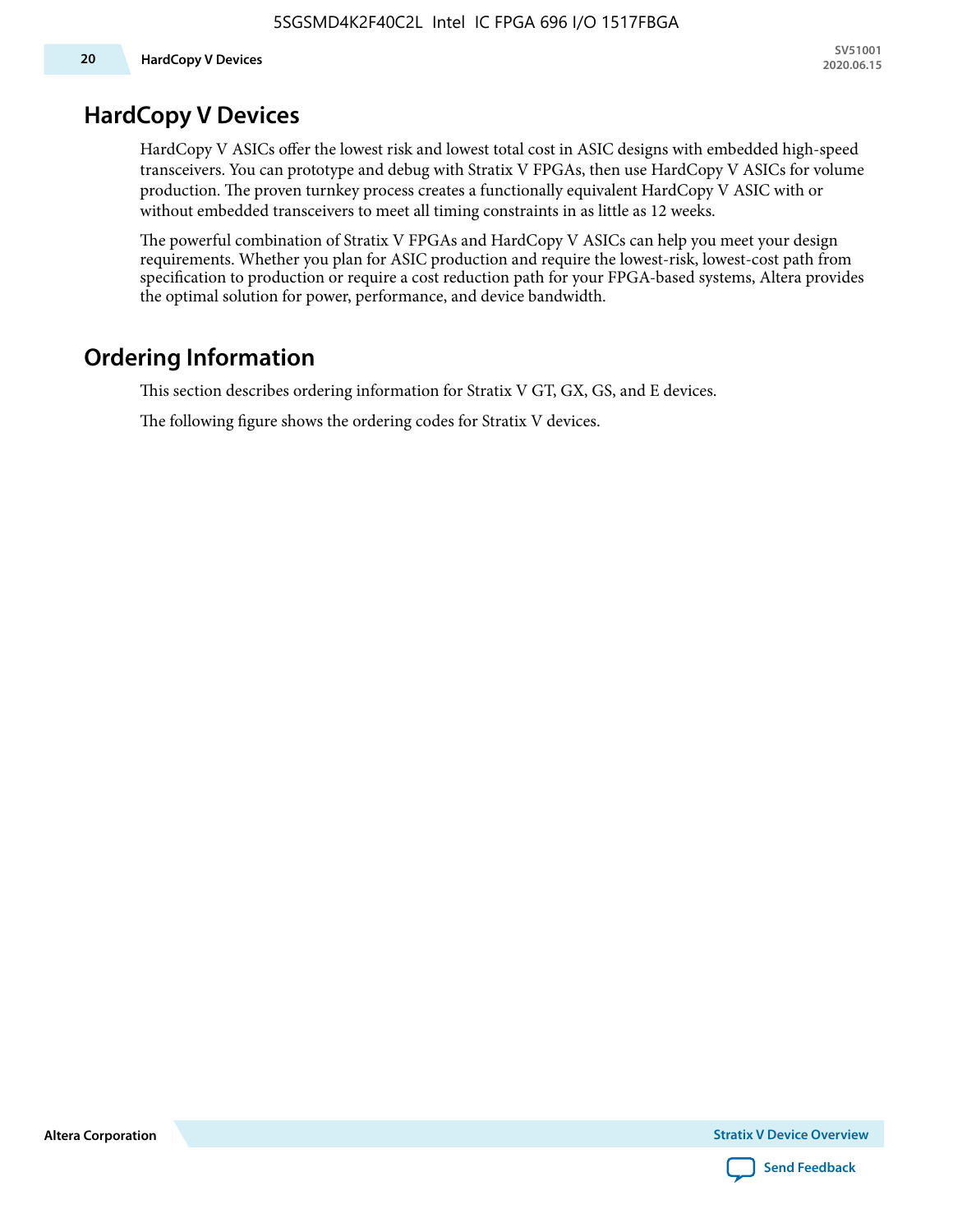### **HardCopy V Devices**

HardCopy V ASICs offer the lowest risk and lowest total cost in ASIC designs with embedded high-speed transceivers. You can prototype and debug with Stratix V FPGAs, then use HardCopy V ASICs for volume production. The proven turnkey process creates a functionally equivalent HardCopy V ASIC with or without embedded transceivers to meet all timing constraints in as little as 12 weeks.

The powerful combination of Stratix V FPGAs and HardCopy V ASICs can help you meet your design requirements. Whether you plan for ASIC production and require the lowest-risk, lowest-cost path from specification to production or require a cost reduction path for your FPGA-based systems, Altera provides the optimal solution for power, performance, and device bandwidth.

# **Ordering Information**

This section describes ordering information for Stratix V GT, GX, GS, and E devices.

The following figure shows the ordering codes for Stratix V devices.

**Altera Corporation** 

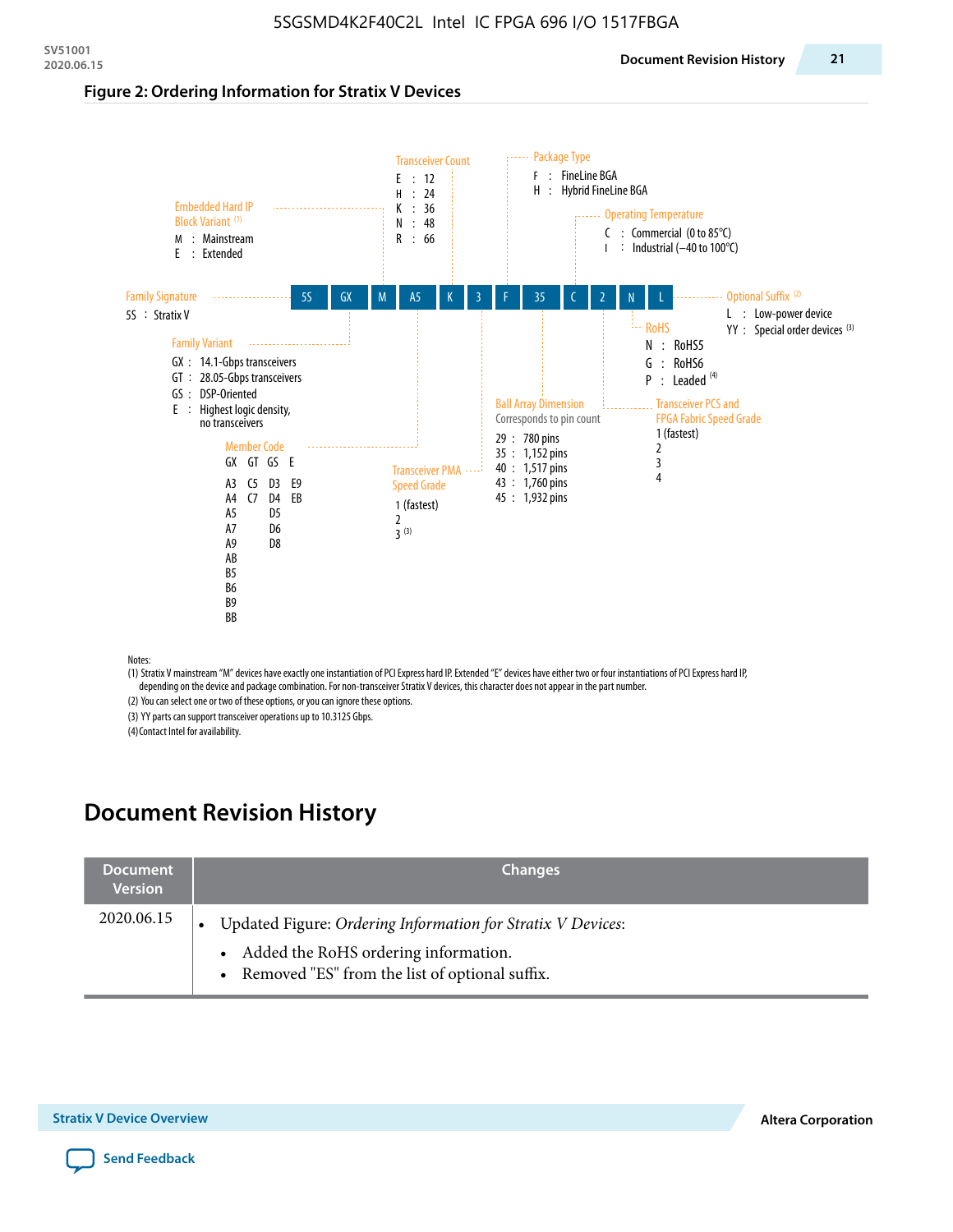#### **Figure 2: Ordering Information for Stratix V Devices**



(1) Stratix V mainstream "M" devices have exactly one instantiation of PCI Express hard IP. Extended "E" devices have either two or four instantiations of PCI Express hard IP, depending on the device and package combination. For non-transceiver Stratix V devices, this character does not appear in the part number.

(2) You can select one or two of these options, or you can ignore these options.

(3) YY parts can support transceiver operations up to 10.3125 Gbps.

(4) Contact Intel for availability.

# **Document Revision History**

| <b>Document</b><br><b>Version</b> | <b>Changes</b>                                                                                                                                            |
|-----------------------------------|-----------------------------------------------------------------------------------------------------------------------------------------------------------|
| 2020.06.15                        | Updated Figure: Ordering Information for Stratix V Devices:<br>• Added the RoHS ordering information.<br>• Removed "ES" from the list of optional suffix. |

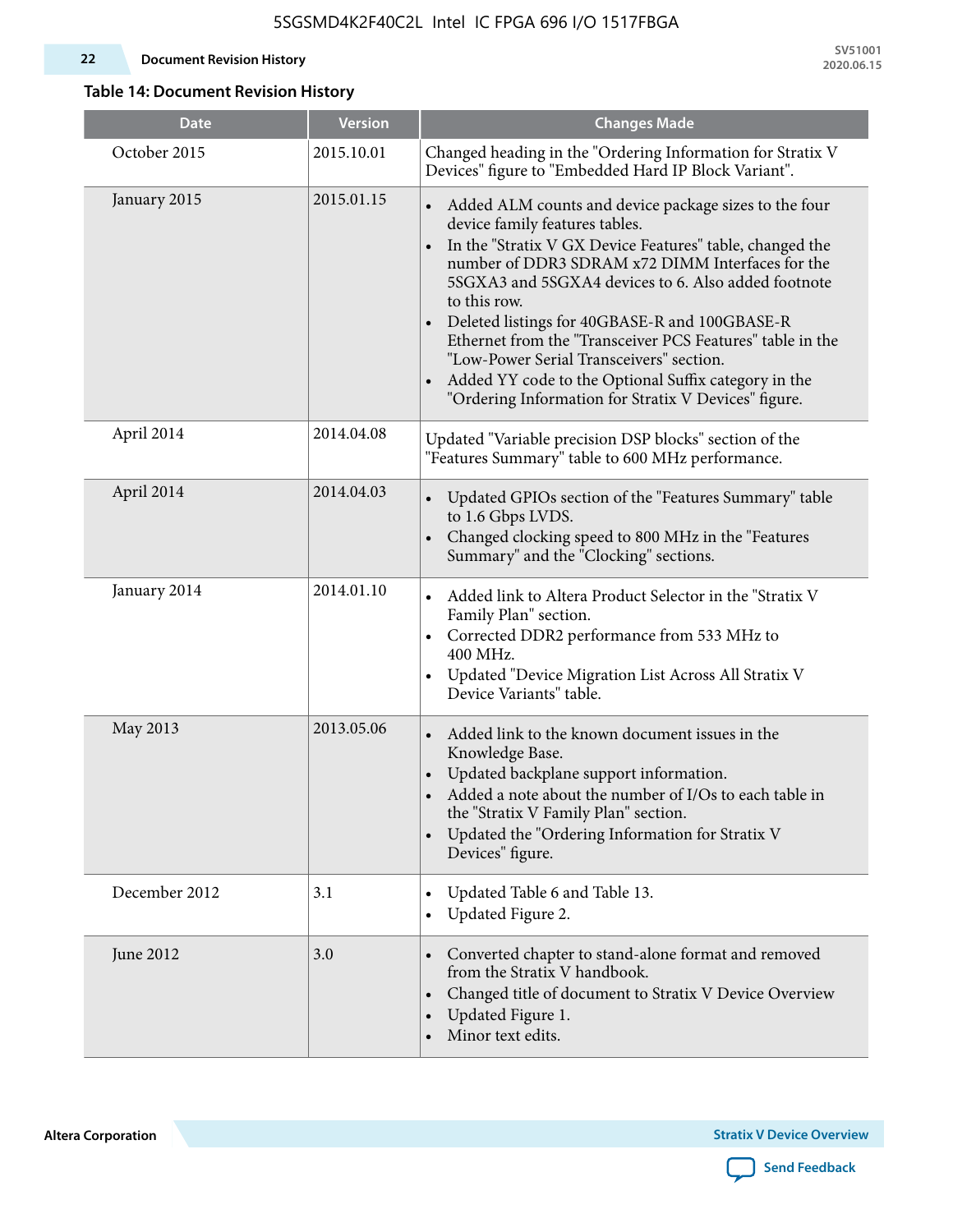#### **22 Document Revision History**

**SV51001 2020.06.15**

### **Table 14: Document Revision History**

| <b>Date</b>   | <b>Version</b> | <b>Changes Made</b>                                                                                                                                                                                                                                                                                                                                                                                                                                                                                                                                                                             |
|---------------|----------------|-------------------------------------------------------------------------------------------------------------------------------------------------------------------------------------------------------------------------------------------------------------------------------------------------------------------------------------------------------------------------------------------------------------------------------------------------------------------------------------------------------------------------------------------------------------------------------------------------|
| October 2015  | 2015.10.01     | Changed heading in the "Ordering Information for Stratix V<br>Devices" figure to "Embedded Hard IP Block Variant".                                                                                                                                                                                                                                                                                                                                                                                                                                                                              |
| January 2015  | 2015.01.15     | Added ALM counts and device package sizes to the four<br>$\bullet$<br>device family features tables.<br>In the "Stratix V GX Device Features" table, changed the<br>$\bullet$<br>number of DDR3 SDRAM x72 DIMM Interfaces for the<br>5SGXA3 and 5SGXA4 devices to 6. Also added footnote<br>to this row.<br>Deleted listings for 40GBASE-R and 100GBASE-R<br>Ethernet from the "Transceiver PCS Features" table in the<br>"Low-Power Serial Transceivers" section.<br>Added YY code to the Optional Suffix category in the<br>$\bullet$<br>"Ordering Information for Stratix V Devices" figure. |
| April 2014    | 2014.04.08     | Updated "Variable precision DSP blocks" section of the<br>"Features Summary" table to 600 MHz performance.                                                                                                                                                                                                                                                                                                                                                                                                                                                                                      |
| April 2014    | 2014.04.03     | Updated GPIOs section of the "Features Summary" table<br>$\bullet$<br>to 1.6 Gbps LVDS.<br>Changed clocking speed to 800 MHz in the "Features<br>Summary" and the "Clocking" sections.                                                                                                                                                                                                                                                                                                                                                                                                          |
| January 2014  | 2014.01.10     | Added link to Altera Product Selector in the "Stratix V<br>Family Plan" section.<br>Corrected DDR2 performance from 533 MHz to<br>$\bullet$<br>400 MHz.<br>Updated "Device Migration List Across All Stratix V<br>Device Variants" table.                                                                                                                                                                                                                                                                                                                                                       |
| May 2013      | 2013.05.06     | Added link to the known document issues in the<br>Knowledge Base.<br>Updated backplane support information.<br>$\bullet$<br>Added a note about the number of I/Os to each table in<br>the "Stratix V Family Plan" section.<br>Updated the "Ordering Information for Stratix V<br>$\bullet$<br>Devices" figure.                                                                                                                                                                                                                                                                                  |
| December 2012 | 3.1            | Updated Table 6 and Table 13.<br>$\bullet$<br>Updated Figure 2.<br>$\bullet$                                                                                                                                                                                                                                                                                                                                                                                                                                                                                                                    |
| June 2012     | 3.0            | Converted chapter to stand-alone format and removed<br>$\bullet$<br>from the Stratix V handbook.<br>Changed title of document to Stratix V Device Overview<br>$\bullet$<br>Updated Figure 1.<br>$\bullet$<br>Minor text edits.                                                                                                                                                                                                                                                                                                                                                                  |

**Altera Corporation** 

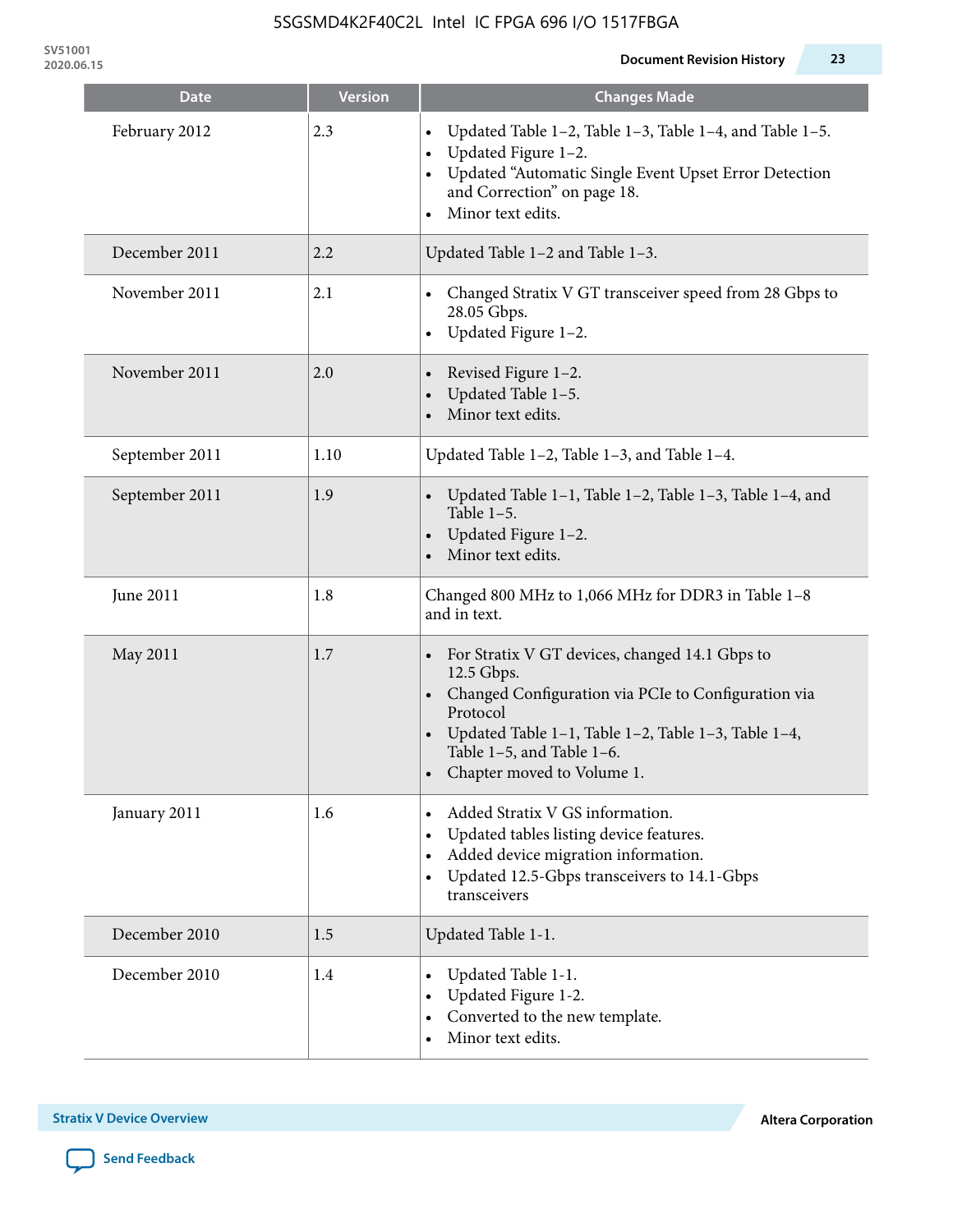**SV51001**

| <b>Date</b>    | <b>Version</b> | <b>Changes Made</b>                                                                                                                                                                                                                                 |
|----------------|----------------|-----------------------------------------------------------------------------------------------------------------------------------------------------------------------------------------------------------------------------------------------------|
| February 2012  | 2.3            | Updated Table 1-2, Table 1-3, Table 1-4, and Table 1-5.<br>Updated Figure 1-2.<br>Updated "Automatic Single Event Upset Error Detection<br>and Correction" on page 18.<br>Minor text edits.<br>$\bullet$                                            |
| December 2011  | 2.2            | Updated Table 1-2 and Table 1-3.                                                                                                                                                                                                                    |
| November 2011  | 2.1            | Changed Stratix V GT transceiver speed from 28 Gbps to<br>28.05 Gbps.<br>Updated Figure 1-2.<br>$\bullet$                                                                                                                                           |
| November 2011  | 2.0            | Revised Figure 1-2.<br>Updated Table 1-5.<br>Minor text edits.                                                                                                                                                                                      |
| September 2011 | 1.10           | Updated Table 1-2, Table 1-3, and Table 1-4.                                                                                                                                                                                                        |
| September 2011 | 1.9            | Updated Table 1-1, Table 1-2, Table 1-3, Table 1-4, and<br>Table $1-5$ .<br>Updated Figure 1-2.<br>Minor text edits.                                                                                                                                |
| June 2011      | 1.8            | Changed 800 MHz to 1,066 MHz for DDR3 in Table 1-8<br>and in text.                                                                                                                                                                                  |
| May 2011       | 1.7            | For Stratix V GT devices, changed 14.1 Gbps to<br>12.5 Gbps.<br>• Changed Configuration via PCIe to Configuration via<br>Protocol<br>Updated Table 1–1, Table 1–2, Table 1–3, Table 1–4,<br>Table 1-5, and Table 1-6.<br>Chapter moved to Volume 1. |
| January 2011   | 1.6            | Added Stratix V GS information.<br>Updated tables listing device features.<br>$\bullet$<br>Added device migration information.<br>Updated 12.5-Gbps transceivers to 14.1-Gbps<br>transceivers                                                       |
| December 2010  | 1.5            | Updated Table 1-1.                                                                                                                                                                                                                                  |
| December 2010  | 1.4            | Updated Table 1-1.<br>Updated Figure 1-2.<br>Converted to the new template.<br>Minor text edits.                                                                                                                                                    |

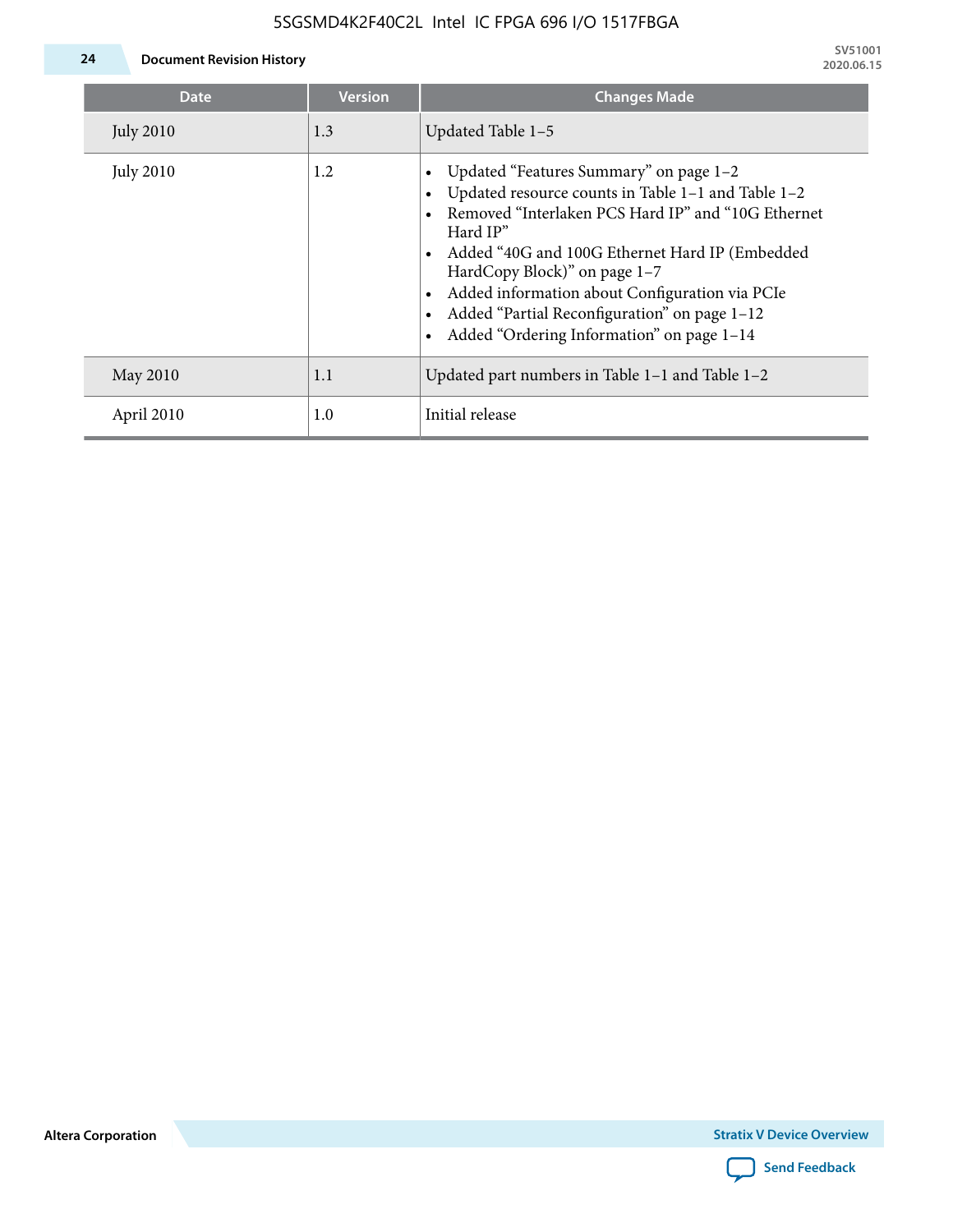

**24 Document Revision History**

| Date             | <b>Version</b> | <b>Changes Made</b>                                                                                                                                                                                                                                                                                                                                                                             |
|------------------|----------------|-------------------------------------------------------------------------------------------------------------------------------------------------------------------------------------------------------------------------------------------------------------------------------------------------------------------------------------------------------------------------------------------------|
| <b>July 2010</b> | 1.3            | Updated Table 1-5                                                                                                                                                                                                                                                                                                                                                                               |
| <b>July 2010</b> | 1.2            | Updated "Features Summary" on page 1-2<br>Updated resource counts in Table 1-1 and Table 1-2<br>Removed "Interlaken PCS Hard IP" and "10G Ethernet<br>Hard IP"<br>Added "40G and 100G Ethernet Hard IP (Embedded<br>HardCopy Block)" on page 1-7<br>Added information about Configuration via PCIe<br>Added "Partial Reconfiguration" on page 1-12<br>Added "Ordering Information" on page 1-14 |
| May 2010         | 1.1            | Updated part numbers in Table $1-1$ and Table $1-2$                                                                                                                                                                                                                                                                                                                                             |
| April 2010       | 1.0            | Initial release                                                                                                                                                                                                                                                                                                                                                                                 |

**Altera Corporation**